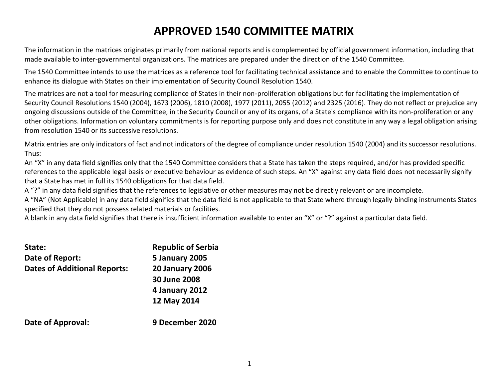# **APPROVED 1540 COMMITTEE MATRIX**

The information in the matrices originates primarily from national reports and is complemented by official government information, including that made available to inter-governmental organizations. The matrices are prepared under the direction of the 1540 Committee.

The 1540 Committee intends to use the matrices as a reference tool for facilitating technical assistance and to enable the Committee to continue to enhance its dialogue with States on their implementation of Security Council Resolution 1540.

The matrices are not a tool for measuring compliance of States in their non-proliferation obligations but for facilitating the implementation of Security Council Resolutions 1540 (2004), 1673 (2006), 1810 (2008), 1977 (2011), 2055 (2012) and 2325 (2016). They do not reflect or prejudice any ongoing discussions outside of the Committee, in the Security Council or any of its organs, of a State's compliance with its non-proliferation or any other obligations. Information on voluntary commitments is for reporting purpose only and does not constitute in any way a legal obligation arising from resolution 1540 or its successive resolutions.

Matrix entries are only indicators of fact and not indicators of the degree of compliance under resolution 1540 (2004) and its successor resolutions. Thus:

An "X" in any data field signifies only that the 1540 Committee considers that a State has taken the steps required, and/or has provided specific references to the applicable legal basis or executive behaviour as evidence of such steps. An "X" against any data field does not necessarily signify that a State has met in full its 1540 obligations for that data field.

A "?" in any data field signifies that the references to legislative or other measures may not be directly relevant or are incomplete.

A "NA" (Not Applicable) in any data field signifies that the data field is not applicable to that State where through legally binding instruments States specified that they do not possess related materials or facilities.

A blank in any data field signifies that there is insufficient information available to enter an "X" or "?" against a particular data field.

| State:                              | <b>Republic of Serbia</b> |
|-------------------------------------|---------------------------|
| Date of Report:                     | <b>5 January 2005</b>     |
| <b>Dates of Additional Reports:</b> | <b>20 January 2006</b>    |
|                                     | 30 June 2008              |
|                                     | 4 January 2012            |
|                                     | 12 May 2014               |
| <b>Date of Approval:</b>            | 9 December 2020           |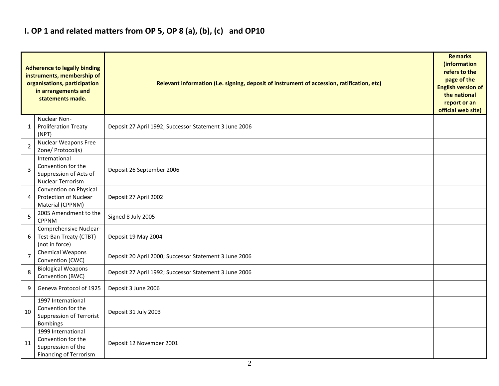### **I. OP 1 and related matters from OP 5, OP 8 (a), (b), (c) and OP10**

|                | <b>Adherence to legally binding</b><br>instruments, membership of<br>organisations, participation<br>in arrangements and<br>statements made. | Relevant information (i.e. signing, deposit of instrument of accession, ratification, etc) |  |  |  |  |  |  |  |  |  |
|----------------|----------------------------------------------------------------------------------------------------------------------------------------------|--------------------------------------------------------------------------------------------|--|--|--|--|--|--|--|--|--|
| 1              | Nuclear Non-<br><b>Proliferation Treaty</b><br>(NPT)                                                                                         | Deposit 27 April 1992; Successor Statement 3 June 2006                                     |  |  |  |  |  |  |  |  |  |
| 2              | <b>Nuclear Weapons Free</b><br>Zone/ Protocol(s)                                                                                             |                                                                                            |  |  |  |  |  |  |  |  |  |
| 3              | International<br>Convention for the<br>Suppression of Acts of<br>Nuclear Terrorism                                                           | Deposit 26 September 2006                                                                  |  |  |  |  |  |  |  |  |  |
| 4              | Convention on Physical<br>Protection of Nuclear<br>Material (CPPNM)                                                                          | Deposit 27 April 2002                                                                      |  |  |  |  |  |  |  |  |  |
| 5              | 2005 Amendment to the<br><b>CPPNM</b>                                                                                                        | Signed 8 July 2005                                                                         |  |  |  |  |  |  |  |  |  |
| 6              | Comprehensive Nuclear-<br>Test-Ban Treaty (CTBT)<br>(not in force)                                                                           | Deposit 19 May 2004                                                                        |  |  |  |  |  |  |  |  |  |
| $\overline{7}$ | <b>Chemical Weapons</b><br>Convention (CWC)                                                                                                  | Deposit 20 April 2000; Successor Statement 3 June 2006                                     |  |  |  |  |  |  |  |  |  |
| 8              | <b>Biological Weapons</b><br>Convention (BWC)                                                                                                | Deposit 27 April 1992; Successor Statement 3 June 2006                                     |  |  |  |  |  |  |  |  |  |
| 9              | Geneva Protocol of 1925                                                                                                                      | Deposit 3 June 2006                                                                        |  |  |  |  |  |  |  |  |  |
| 10             | 1997 International<br>Convention for the<br>Suppression of Terrorist<br>Bombings                                                             | Deposit 31 July 2003                                                                       |  |  |  |  |  |  |  |  |  |
| 11             | 1999 International<br>Convention for the<br>Suppression of the<br><b>Financing of Terrorism</b>                                              | Deposit 12 November 2001                                                                   |  |  |  |  |  |  |  |  |  |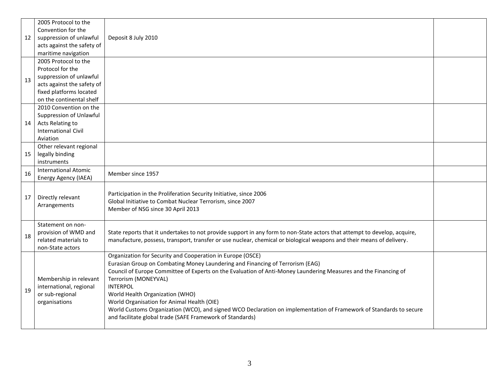| 12 | 2005 Protocol to the<br>Convention for the<br>suppression of unlawful<br>acts against the safety of<br>maritime navigation<br>2005 Protocol to the | Deposit 8 July 2010                                                                                                                                                                                                                                                                                                                                                                                                                                                                                                                                                           |  |
|----|----------------------------------------------------------------------------------------------------------------------------------------------------|-------------------------------------------------------------------------------------------------------------------------------------------------------------------------------------------------------------------------------------------------------------------------------------------------------------------------------------------------------------------------------------------------------------------------------------------------------------------------------------------------------------------------------------------------------------------------------|--|
| 13 | Protocol for the<br>suppression of unlawful<br>acts against the safety of<br>fixed platforms located<br>on the continental shelf                   |                                                                                                                                                                                                                                                                                                                                                                                                                                                                                                                                                                               |  |
| 14 | 2010 Convention on the<br>Suppression of Unlawful<br>Acts Relating to<br><b>International Civil</b><br>Aviation                                    |                                                                                                                                                                                                                                                                                                                                                                                                                                                                                                                                                                               |  |
| 15 | Other relevant regional<br>legally binding<br>instruments                                                                                          |                                                                                                                                                                                                                                                                                                                                                                                                                                                                                                                                                                               |  |
| 16 | <b>International Atomic</b><br>Energy Agency (IAEA)                                                                                                | Member since 1957                                                                                                                                                                                                                                                                                                                                                                                                                                                                                                                                                             |  |
| 17 | Directly relevant<br>Arrangements                                                                                                                  | Participation in the Proliferation Security Initiative, since 2006<br>Global Initiative to Combat Nuclear Terrorism, since 2007<br>Member of NSG since 30 April 2013                                                                                                                                                                                                                                                                                                                                                                                                          |  |
| 18 | Statement on non-<br>provision of WMD and<br>related materials to<br>non-State actors                                                              | State reports that it undertakes to not provide support in any form to non-State actors that attempt to develop, acquire,<br>manufacture, possess, transport, transfer or use nuclear, chemical or biological weapons and their means of delivery.                                                                                                                                                                                                                                                                                                                            |  |
| 19 | Membership in relevant<br>international, regional<br>or sub-regional<br>organisations                                                              | Organization for Security and Cooperation in Europe (OSCE)<br>Eurasian Group on Combating Money Laundering and Financing of Terrorism (EAG)<br>Council of Europe Committee of Experts on the Evaluation of Anti-Money Laundering Measures and the Financing of<br>Terrorism (MONEYVAL)<br><b>INTERPOL</b><br>World Health Organization (WHO)<br>World Organisation for Animal Health (OIE)<br>World Customs Organization (WCO), and signed WCO Declaration on implementation of Framework of Standards to secure<br>and facilitate global trade (SAFE Framework of Standards) |  |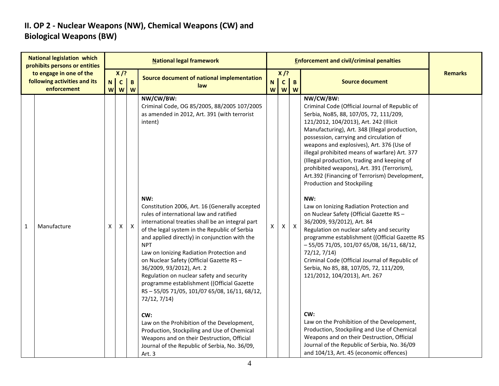#### **II. OP 2 - Nuclear Weapons (NW), Chemical Weapons (CW) and Biological Weapons (BW)**

|   | <b>National legislation which</b><br>prohibits persons or entities     |        |                        |                           | <b>National legal framework</b>                                                                                                                                                                                                                                                                                                                                                                                                                                                                                                                                                                                                                                                                                                 |                  |                                        |                   | <b>Enforcement and civil/criminal penalties</b>                                                                                                                                                                                                                                                                                                                                                                                                                                                                                                                                                                                                                                                                                                                                                                                                                                                                                                                                                           |                |
|---|------------------------------------------------------------------------|--------|------------------------|---------------------------|---------------------------------------------------------------------------------------------------------------------------------------------------------------------------------------------------------------------------------------------------------------------------------------------------------------------------------------------------------------------------------------------------------------------------------------------------------------------------------------------------------------------------------------------------------------------------------------------------------------------------------------------------------------------------------------------------------------------------------|------------------|----------------------------------------|-------------------|-----------------------------------------------------------------------------------------------------------------------------------------------------------------------------------------------------------------------------------------------------------------------------------------------------------------------------------------------------------------------------------------------------------------------------------------------------------------------------------------------------------------------------------------------------------------------------------------------------------------------------------------------------------------------------------------------------------------------------------------------------------------------------------------------------------------------------------------------------------------------------------------------------------------------------------------------------------------------------------------------------------|----------------|
|   | to engage in one of the<br>following activities and its<br>enforcement | N<br>W | $X$ /?<br>$\mathsf{C}$ | $\mathbf B$<br><b>W</b> W | Source document of national implementation<br>law                                                                                                                                                                                                                                                                                                                                                                                                                                                                                                                                                                                                                                                                               | $\mathbf N$<br>W | $X$ /?<br>$\mathbf{C}$<br>$\mathbf{w}$ | $\mathbf{B}$<br>W | <b>Source document</b>                                                                                                                                                                                                                                                                                                                                                                                                                                                                                                                                                                                                                                                                                                                                                                                                                                                                                                                                                                                    | <b>Remarks</b> |
| 1 | Manufacture                                                            | X      | X                      | $\mathsf{X}$              | NW/CW/BW:<br>Criminal Code, OG 85/2005, 88/2005 107/2005<br>as amended in 2012, Art. 391 (with terrorist<br>intent)<br>NW:<br>Constitution 2006, Art. 16 (Generally accepted<br>rules of international law and ratified<br>international treaties shall be an integral part<br>of the legal system in the Republic of Serbia<br>and applied directly) in conjunction with the<br><b>NPT</b><br>Law on Ionizing Radiation Protection and<br>on Nuclear Safety (Official Gazette RS -<br>36/2009, 93/2012), Art. 2<br>Regulation on nuclear safety and security<br>programme establishment ((Official Gazette<br>RS-55/05 71/05, 101/07 65/08, 16/11, 68/12,<br>72/12, 7/14)<br>CW:<br>Law on the Prohibition of the Development, | Χ                | X                                      | $\mathsf{X}$      | NW/CW/BW:<br>Criminal Code (Official Journal of Republic of<br>Serbia, No85, 88, 107/05, 72, 111/209,<br>121/2012, 104/2013), Art. 242 (Illicit<br>Manufacturing), Art. 348 (Illegal production,<br>possession, carrying and circulation of<br>weapons and explosives), Art. 376 (Use of<br>illegal prohibited means of warfare) Art. 377<br>(Illegal production, trading and keeping of<br>prohibited weapons), Art. 391 (Terrorism),<br>Art.392 (Financing of Terrorism) Development,<br><b>Production and Stockpiling</b><br>NW:<br>Law on Ionizing Radiation Protection and<br>on Nuclear Safety (Official Gazette RS -<br>36/2009, 93/2012), Art. 84<br>Regulation on nuclear safety and security<br>programme establishment ((Official Gazette RS<br>$-55/0571/05$ , 101/07 65/08, 16/11, 68/12,<br>72/12, 7/14)<br>Criminal Code (Official Journal of Republic of<br>Serbia, No 85, 88, 107/05, 72, 111/209,<br>121/2012, 104/2013), Art. 267<br>CW:<br>Law on the Prohibition of the Development, |                |
|   |                                                                        |        |                        |                           | Production, Stockpiling and Use of Chemical<br>Weapons and on their Destruction, Official<br>Journal of the Republic of Serbia, No. 36/09,<br>Art. 3                                                                                                                                                                                                                                                                                                                                                                                                                                                                                                                                                                            |                  |                                        |                   | Production, Stockpiling and Use of Chemical<br>Weapons and on their Destruction, Official<br>Journal of the Republic of Serbia, No. 36/09<br>and 104/13, Art. 45 (economic offences)                                                                                                                                                                                                                                                                                                                                                                                                                                                                                                                                                                                                                                                                                                                                                                                                                      |                |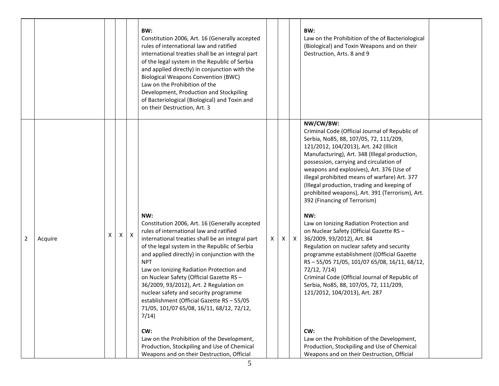|                           |   |   |   | BW:<br>Constitution 2006, Art. 16 (Generally accepted<br>rules of international law and ratified<br>international treaties shall be an integral part<br>of the legal system in the Republic of Serbia<br>and applied directly) in conjunction with the<br><b>Biological Weapons Convention (BWC)</b><br>Law on the Prohibition of the<br>Development, Production and Stockpiling<br>of Bacteriological (Biological) and Toxin and<br>on their Destruction, Art. 3                                                                                                                                                                                                                                      |   |    |              | BW:<br>Law on the Prohibition of the of Bacteriological<br>(Biological) and Toxin Weapons and on their<br>Destruction, Arts. 8 and 9                                                                                                                                                                                                                                                                                                                                                                                                                                                                                                                                                                                                                                                                                                                                                                                                                                                                                                              |  |
|---------------------------|---|---|---|--------------------------------------------------------------------------------------------------------------------------------------------------------------------------------------------------------------------------------------------------------------------------------------------------------------------------------------------------------------------------------------------------------------------------------------------------------------------------------------------------------------------------------------------------------------------------------------------------------------------------------------------------------------------------------------------------------|---|----|--------------|---------------------------------------------------------------------------------------------------------------------------------------------------------------------------------------------------------------------------------------------------------------------------------------------------------------------------------------------------------------------------------------------------------------------------------------------------------------------------------------------------------------------------------------------------------------------------------------------------------------------------------------------------------------------------------------------------------------------------------------------------------------------------------------------------------------------------------------------------------------------------------------------------------------------------------------------------------------------------------------------------------------------------------------------------|--|
| $\overline{2}$<br>Acquire | X | X | X | NW:<br>Constitution 2006, Art. 16 (Generally accepted<br>rules of international law and ratified<br>international treaties shall be an integral part<br>of the legal system in the Republic of Serbia<br>and applied directly) in conjunction with the<br><b>NPT</b><br>Law on Ionizing Radiation Protection and<br>on Nuclear Safety (Official Gazette RS -<br>36/2009, 93/2012), Art. 2 Regulation on<br>nuclear safety and security programme<br>establishment (Official Gazette RS - 55/05<br>71/05, 101/07 65/08, 16/11, 68/12, 72/12,<br>7/14)<br>CW:<br>Law on the Prohibition of the Development,<br>Production, Stockpiling and Use of Chemical<br>Weapons and on their Destruction, Official | X | X. | $\mathsf{X}$ | NW/CW/BW:<br>Criminal Code (Official Journal of Republic of<br>Serbia, No85, 88, 107/05, 72, 111/209,<br>121/2012, 104/2013), Art. 242 (Illicit<br>Manufacturing), Art. 348 (Illegal production,<br>possession, carrying and circulation of<br>weapons and explosives), Art. 376 (Use of<br>illegal prohibited means of warfare) Art. 377<br>(Illegal production, trading and keeping of<br>prohibited weapons), Art. 391 (Terrorism), Art.<br>392 (Financing of Terrorism)<br>NW:<br>Law on Ionizing Radiation Protection and<br>on Nuclear Safety (Official Gazette RS -<br>36/2009, 93/2012), Art. 84<br>Regulation on nuclear safety and security<br>programme establishment ((Official Gazette<br>RS-55/05 71/05, 101/07 65/08, 16/11, 68/12,<br>72/12, 7/14)<br>Criminal Code (Official Journal of Republic of<br>Serbia, No85, 88, 107/05, 72, 111/209,<br>121/2012, 104/2013), Art. 287<br>CW:<br>Law on the Prohibition of the Development,<br>Production, Stockpiling and Use of Chemical<br>Weapons and on their Destruction, Official |  |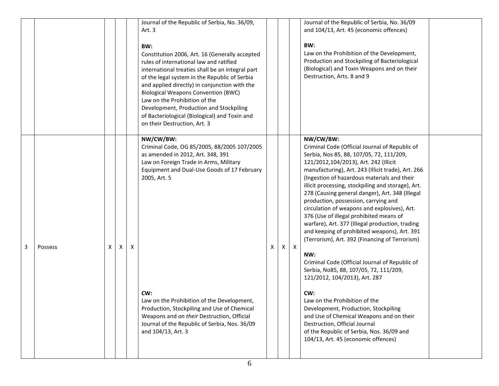|   |         |   |   |   | Journal of the Republic of Serbia, No. 36/09,<br>Art. 3<br>BW:<br>Constitution 2006, Art. 16 (Generally accepted<br>rules of international law and ratified<br>international treaties shall be an integral part<br>of the legal system in the Republic of Serbia<br>and applied directly) in conjunction with the<br><b>Biological Weapons Convention (BWC)</b><br>Law on the Prohibition of the<br>Development, Production and Stockpiling<br>of Bacteriological (Biological) and Toxin and<br>on their Destruction, Art. 3 |   |    |              | Journal of the Republic of Serbia, No. 36/09<br>and 104/13, Art. 45 (economic offences)<br>BW:<br>Law on the Prohibition of the Development,<br>Production and Stockpiling of Bacteriological<br>(Biological) and Toxin Weapons and on their<br>Destruction, Arts. 8 and 9                                                                                                                                                                                                                                                                                                                                                                                                                                                                                                                                                                                                                                                                                                                                                                  |  |
|---|---------|---|---|---|------------------------------------------------------------------------------------------------------------------------------------------------------------------------------------------------------------------------------------------------------------------------------------------------------------------------------------------------------------------------------------------------------------------------------------------------------------------------------------------------------------------------------|---|----|--------------|---------------------------------------------------------------------------------------------------------------------------------------------------------------------------------------------------------------------------------------------------------------------------------------------------------------------------------------------------------------------------------------------------------------------------------------------------------------------------------------------------------------------------------------------------------------------------------------------------------------------------------------------------------------------------------------------------------------------------------------------------------------------------------------------------------------------------------------------------------------------------------------------------------------------------------------------------------------------------------------------------------------------------------------------|--|
| 3 | Possess | X | X | Χ | NW/CW/BW:<br>Criminal Code, OG 85/2005, 88/2005 107/2005<br>as amended in 2012, Art. 348, 391<br>Law on Foreign Trade in Arms, Military<br>Equipment and Dual-Use Goods of 17 February<br>2005, Art. 5<br>CW:<br>Law on the Prohibition of the Development,<br>Production, Stockpiling and Use of Chemical<br>Weapons and on their Destruction, Official<br>Journal of the Republic of Serbia, Nos. 36/09<br>and 104/13, Art. 3                                                                                              | X | X. | $\mathsf{X}$ | NW/CW/BW:<br>Criminal Code (Official Journal of Republic of<br>Serbia, Nos 85, 88, 107/05, 72, 111/209,<br>121/2012,104/2013), Art. 242 (Illicit<br>manufacturing), Art. 243 (Illicit trade), Art. 266<br>(Ingestion of hazardous materials and their<br>illicit processing, stockpiling and storage), Art.<br>278 (Causing general danger), Art. 348 (Illegal<br>production, possession, carrying and<br>circulation of weapons and explosives), Art.<br>376 (Use of illegal prohibited means of<br>warfare), Art. 377 (Illegal production, trading<br>and keeping of prohibited weapons), Art. 391<br>(Terrorism), Art. 392 (Financing of Terrorism)<br>NW:<br>Criminal Code (Official Journal of Republic of<br>Serbia, No85, 88, 107/05, 72, 111/209,<br>121/2012, 104/2013), Art. 287<br>CW:<br>Law on the Prohibition of the<br>Development, Production, Stockpiling<br>and Use of Chemical Weapons and on their<br>Destruction, Official Journal<br>of the Republic of Serbia, Nos. 36/09 and<br>104/13, Art. 45 (economic offences) |  |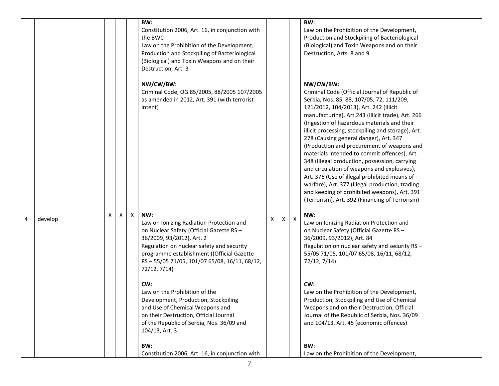|   |         |   |   | BW:<br>Constitution 2006, Art. 16, in conjunction with<br>the BWC<br>Law on the Prohibition of the Development,<br>Production and Stockpiling of Bacteriological<br>(Biological) and Toxin Weapons and on their<br>Destruction, Art. 3                                                                                                                                                                                                                                                                                                                                                                                                |   |   |                           | BW:<br>Law on the Prohibition of the Development,<br>Production and Stockpiling of Bacteriological<br>(Biological) and Toxin Weapons and on their<br>Destruction, Arts. 8 and 9                                                                                                                                                                                                                                                                                                                                                                                                                                                                                                                                                                                                                                                                                                                                                                                                                                                                                                                                                                                                                                                                    |  |
|---|---------|---|---|---------------------------------------------------------------------------------------------------------------------------------------------------------------------------------------------------------------------------------------------------------------------------------------------------------------------------------------------------------------------------------------------------------------------------------------------------------------------------------------------------------------------------------------------------------------------------------------------------------------------------------------|---|---|---------------------------|----------------------------------------------------------------------------------------------------------------------------------------------------------------------------------------------------------------------------------------------------------------------------------------------------------------------------------------------------------------------------------------------------------------------------------------------------------------------------------------------------------------------------------------------------------------------------------------------------------------------------------------------------------------------------------------------------------------------------------------------------------------------------------------------------------------------------------------------------------------------------------------------------------------------------------------------------------------------------------------------------------------------------------------------------------------------------------------------------------------------------------------------------------------------------------------------------------------------------------------------------|--|
| 4 | develop | X | X | NW/CW/BW:<br>Criminal Code, OG 85/2005, 88/2005 107/2005<br>as amended in 2012, Art. 391 (with terrorist<br>intent)<br>NW:<br>Law on Ionizing Radiation Protection and<br>on Nuclear Safety (Official Gazette RS -<br>36/2009, 93/2012), Art. 2<br>Regulation on nuclear safety and security<br>programme establishment ((Official Gazette<br>RS-55/05 71/05, 101/07 65/08, 16/11, 68/12,<br>72/12, 7/14)<br>CW:<br>Law on the Prohibition of the<br>Development, Production, Stockpiling<br>and Use of Chemical Weapons and<br>on their Destruction, Official Journal<br>of the Republic of Serbia, Nos. 36/09 and<br>104/13, Art. 3 | Χ | X | $\boldsymbol{\mathsf{X}}$ | NW/CW/BW:<br>Criminal Code (Official Journal of Republic of<br>Serbia, Nos. 85, 88, 107/05, 72, 111/209,<br>121/2012, 104/2013), Art. 242 (Illicit<br>manufacturing), Art.243 (Illicit trade), Art. 266<br>(Ingestion of hazardous materials and their<br>illicit processing, stockpiling and storage), Art.<br>278 (Causing general danger), Art. 347<br>(Production and procurement of weapons and<br>materials intended to commit offences), Art.<br>348 (Illegal production, possession, carrying<br>and circulation of weapons and explosives),<br>Art. 376 (Use of illegal prohibited means of<br>warfare), Art. 377 (Illegal production, trading<br>and keeping of prohibited weapons), Art. 391<br>(Terrorism), Art. 392 (Financing of Terrorism)<br>NW:<br>Law on Ionizing Radiation Protection and<br>on Nuclear Safety (Official Gazette RS -<br>36/2009, 93/2012), Art. 84<br>Regulation on nuclear safety and security RS -<br>55/05 71/05, 101/07 65/08, 16/11, 68/12,<br>72/12, 7/14)<br>CW:<br>Law on the Prohibition of the Development,<br>Production, Stockpiling and Use of Chemical<br>Weapons and on their Destruction, Official<br>Journal of the Republic of Serbia, Nos. 36/09<br>and 104/13, Art. 45 (economic offences) |  |
|   |         |   |   | BW:<br>Constitution 2006, Art. 16, in conjunction with                                                                                                                                                                                                                                                                                                                                                                                                                                                                                                                                                                                |   |   |                           | BW:<br>Law on the Prohibition of the Development,                                                                                                                                                                                                                                                                                                                                                                                                                                                                                                                                                                                                                                                                                                                                                                                                                                                                                                                                                                                                                                                                                                                                                                                                  |  |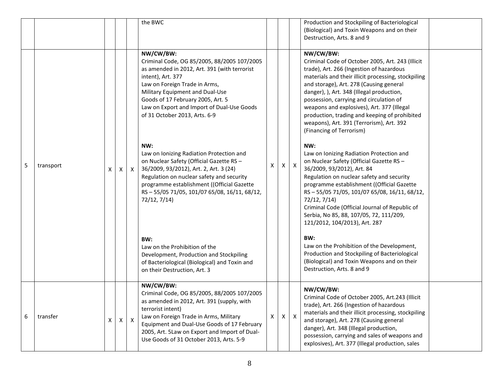|   |           |   |              |              | the BWC                                                                                                                                                                                                                                                                                                               |              |              |              | Production and Stockpiling of Bacteriological<br>(Biological) and Toxin Weapons and on their<br>Destruction, Arts. 8 and 9                                                                                                                                                                                                                                                                                                                                                 |
|---|-----------|---|--------------|--------------|-----------------------------------------------------------------------------------------------------------------------------------------------------------------------------------------------------------------------------------------------------------------------------------------------------------------------|--------------|--------------|--------------|----------------------------------------------------------------------------------------------------------------------------------------------------------------------------------------------------------------------------------------------------------------------------------------------------------------------------------------------------------------------------------------------------------------------------------------------------------------------------|
|   |           |   |              |              | NW/CW/BW:<br>Criminal Code, OG 85/2005, 88/2005 107/2005<br>as amended in 2012, Art. 391 (with terrorist<br>intent), Art. 377<br>Law on Foreign Trade in Arms,<br>Military Equipment and Dual-Use<br>Goods of 17 February 2005, Art. 5<br>Law on Export and Import of Dual-Use Goods<br>of 31 October 2013, Arts. 6-9 |              |              |              | NW/CW/BW:<br>Criminal Code of October 2005, Art. 243 (Illicit<br>trade), Art. 266 (Ingestion of hazardous<br>materials and their illicit processing, stockpiling<br>and storage), Art. 278 (Causing general<br>danger), ), Art. 348 (Illegal production,<br>possession, carrying and circulation of<br>weapons and explosives), Art. 377 (Illegal<br>production, trading and keeping of prohibited<br>weapons), Art. 391 (Terrorism), Art. 392<br>(Financing of Terrorism) |
| 5 | transport |   | $\mathsf{X}$ | $\mathsf{X}$ | NW:<br>Law on Ionizing Radiation Protection and<br>on Nuclear Safety (Official Gazette RS -<br>36/2009, 93/2012), Art. 2, Art. 3 (24)<br>Regulation on nuclear safety and security<br>programme establishment ((Official Gazette<br>RS-55/05 71/05, 101/07 65/08, 16/11, 68/12,<br>72/12, 7/14)                       | X            |              | $x \mid x$   | NW:<br>Law on Ionizing Radiation Protection and<br>on Nuclear Safety (Official Gazette RS -<br>36/2009, 93/2012), Art. 84<br>Regulation on nuclear safety and security<br>programme establishment ((Official Gazette<br>RS-55/05 71/05, 101/07 65/08, 16/11, 68/12,<br>72/12, 7/14)<br>Criminal Code (Official Journal of Republic of<br>Serbia, No 85, 88, 107/05, 72, 111/209,<br>121/2012, 104/2013), Art. 287                                                          |
|   |           |   |              |              | BW:<br>Law on the Prohibition of the<br>Development, Production and Stockpiling<br>of Bacteriological (Biological) and Toxin and<br>on their Destruction, Art. 3                                                                                                                                                      |              |              |              | BW:<br>Law on the Prohibition of the Development,<br>Production and Stockpiling of Bacteriological<br>(Biological) and Toxin Weapons and on their<br>Destruction, Arts. 8 and 9                                                                                                                                                                                                                                                                                            |
| 6 | transfer  | x | $\mathsf{X}$ | $\mathsf{X}$ | NW/CW/BW:<br>Criminal Code, OG 85/2005, 88/2005 107/2005<br>as amended in 2012, Art. 391 (supply, with<br>terrorist intent)<br>Law on Foreign Trade in Arms, Military<br>Equipment and Dual-Use Goods of 17 February<br>2005, Art. 5Law on Export and Import of Dual-<br>Use Goods of 31 October 2013, Arts. 5-9      | $\mathsf{x}$ | $\mathsf{x}$ | $\mathsf{X}$ | NW/CW/BW:<br>Criminal Code of October 2005, Art.243 (Illicit)<br>trade), Art. 266 (Ingestion of hazardous<br>materials and their illicit processing, stockpiling<br>and storage), Art. 278 (Causing general<br>danger), Art. 348 (Illegal production,<br>possession, carrying and sales of weapons and<br>explosives), Art. 377 (Illegal production, sales                                                                                                                 |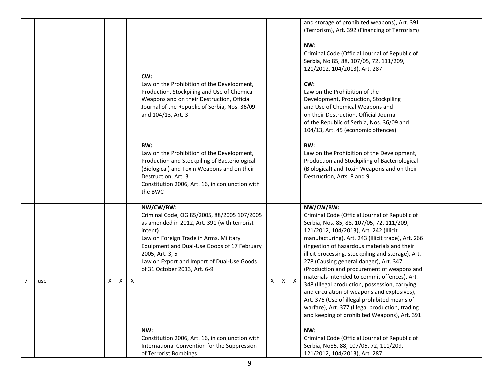|          |   |   |              | CW:<br>Law on the Prohibition of the Development,<br>Production, Stockpiling and Use of Chemical<br>Weapons and on their Destruction, Official<br>Journal of the Republic of Serbia, Nos. 36/09<br>and 104/13, Art. 3<br>BW:<br>Law on the Prohibition of the Development,<br>Production and Stockpiling of Bacteriological<br>(Biological) and Toxin Weapons and on their<br>Destruction, Art. 3<br>Constitution 2006, Art. 16, in conjunction with<br>the BWC |   |              |              | and storage of prohibited weapons), Art. 391<br>(Terrorism), Art. 392 (Financing of Terrorism)<br>NW:<br>Criminal Code (Official Journal of Republic of<br>Serbia, No 85, 88, 107/05, 72, 111/209,<br>121/2012, 104/2013), Art. 287<br>CW:<br>Law on the Prohibition of the<br>Development, Production, Stockpiling<br>and Use of Chemical Weapons and<br>on their Destruction, Official Journal<br>of the Republic of Serbia, Nos. 36/09 and<br>104/13, Art. 45 (economic offences)<br>BW:<br>Law on the Prohibition of the Development,<br>Production and Stockpiling of Bacteriological<br>(Biological) and Toxin Weapons and on their<br>Destruction, Arts. 8 and 9                                                                                                                                                                      |  |
|----------|---|---|--------------|-----------------------------------------------------------------------------------------------------------------------------------------------------------------------------------------------------------------------------------------------------------------------------------------------------------------------------------------------------------------------------------------------------------------------------------------------------------------|---|--------------|--------------|----------------------------------------------------------------------------------------------------------------------------------------------------------------------------------------------------------------------------------------------------------------------------------------------------------------------------------------------------------------------------------------------------------------------------------------------------------------------------------------------------------------------------------------------------------------------------------------------------------------------------------------------------------------------------------------------------------------------------------------------------------------------------------------------------------------------------------------------|--|
| 7<br>use | X | X | $\mathsf{X}$ | NW/CW/BW:<br>Criminal Code, OG 85/2005, 88/2005 107/2005<br>as amended in 2012, Art. 391 (with terrorist<br>intent)<br>Law on Foreign Trade in Arms, Military<br>Equipment and Dual-Use Goods of 17 February<br>2005, Art. 3, 5<br>Law on Export and Import of Dual-Use Goods<br>of 31 October 2013, Art. 6-9<br>NW:<br>Constitution 2006, Art. 16, in conjunction with<br>International Convention for the Suppression<br>of Terrorist Bombings                | X | $\mathsf{X}$ | $\mathsf{X}$ | NW/CW/BW:<br>Criminal Code (Official Journal of Republic of<br>Serbia, Nos. 85, 88, 107/05, 72, 111/209,<br>121/2012, 104/2013), Art. 242 (Illicit<br>manufacturing), Art. 243 (Illicit trade), Art. 266<br>(Ingestion of hazardous materials and their<br>illicit processing, stockpiling and storage), Art.<br>278 (Causing general danger), Art. 347<br>(Production and procurement of weapons and<br>materials intended to commit offences), Art.<br>348 (Illegal production, possession, carrying<br>and circulation of weapons and explosives),<br>Art. 376 (Use of illegal prohibited means of<br>warfare), Art. 377 (Illegal production, trading<br>and keeping of prohibited Weapons), Art. 391<br>NW:<br>Criminal Code (Official Journal of Republic of<br>Serbia, No85, 88, 107/05, 72, 111/209,<br>121/2012, 104/2013), Art. 287 |  |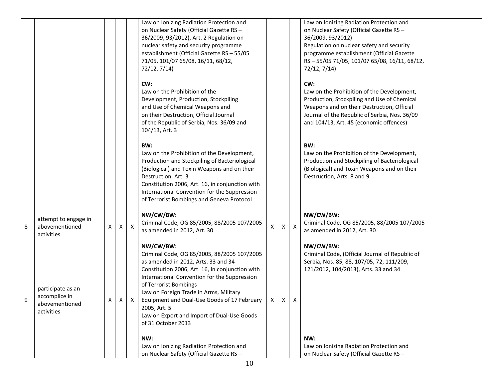|   |                                                                    |   |   |            | Law on Ionizing Radiation Protection and<br>on Nuclear Safety (Official Gazette RS -<br>36/2009, 93/2012), Art. 2 Regulation on<br>nuclear safety and security programme<br>establishment (Official Gazette RS - 55/05<br>71/05, 101/07 65/08, 16/11, 68/12,<br>72/12, 7/14)                                                                                                                                              |              |                |                  | Law on Ionizing Radiation Protection and<br>on Nuclear Safety (Official Gazette RS -<br>36/2009, 93/2012)<br>Regulation on nuclear safety and security<br>programme establishment (Official Gazette<br>RS-55/05 71/05, 101/07 65/08, 16/11, 68/12,<br>72/12, 7/14) |  |
|---|--------------------------------------------------------------------|---|---|------------|---------------------------------------------------------------------------------------------------------------------------------------------------------------------------------------------------------------------------------------------------------------------------------------------------------------------------------------------------------------------------------------------------------------------------|--------------|----------------|------------------|--------------------------------------------------------------------------------------------------------------------------------------------------------------------------------------------------------------------------------------------------------------------|--|
|   |                                                                    |   |   |            | CW:<br>Law on the Prohibition of the<br>Development, Production, Stockpiling<br>and Use of Chemical Weapons and<br>on their Destruction, Official Journal<br>of the Republic of Serbia, Nos. 36/09 and<br>104/13, Art. 3                                                                                                                                                                                                  |              |                |                  | CW:<br>Law on the Prohibition of the Development,<br>Production, Stockpiling and Use of Chemical<br>Weapons and on their Destruction, Official<br>Journal of the Republic of Serbia, Nos. 36/09<br>and 104/13, Art. 45 (economic offences)                         |  |
|   |                                                                    |   |   |            | BW:<br>Law on the Prohibition of the Development,<br>Production and Stockpiling of Bacteriological<br>(Biological) and Toxin Weapons and on their<br>Destruction, Art. 3<br>Constitution 2006, Art. 16, in conjunction with<br>International Convention for the Suppression<br>of Terrorist Bombings and Geneva Protocol                                                                                                  |              |                |                  | BW:<br>Law on the Prohibition of the Development,<br>Production and Stockpiling of Bacteriological<br>(Biological) and Toxin Weapons and on their<br>Destruction, Arts. 8 and 9                                                                                    |  |
| 8 | attempt to engage in<br>abovementioned<br>activities               | X | X | X          | NW/CW/BW:<br>Criminal Code, OG 85/2005, 88/2005 107/2005<br>as amended in 2012, Art. 30                                                                                                                                                                                                                                                                                                                                   | $\mathsf{X}$ | $\mathsf{X}^-$ | $\boldsymbol{X}$ | NW/CW/BW:<br>Criminal Code, OG 85/2005, 88/2005 107/2005<br>as amended in 2012, Art. 30                                                                                                                                                                            |  |
| 9 | participate as an<br>accomplice in<br>abovementioned<br>activities | Χ |   | $X \mid X$ | NW/CW/BW:<br>Criminal Code, OG 85/2005, 88/2005 107/2005<br>as amended in 2012, Arts. 33 and 34<br>Constitution 2006, Art. 16, in conjunction with<br>International Convention for the Suppression<br>of Terrorist Bombings<br>Law on Foreign Trade in Arms, Military<br>Equipment and Dual-Use Goods of 17 February $ x  \times  x $<br>2005, Art. 5<br>Law on Export and Import of Dual-Use Goods<br>of 31 October 2013 |              |                |                  | NW/CW/BW:<br>Criminal Code, (Official Journal of Republic of<br>Serbia, Nos. 85, 88, 107/05, 72, 111/209,<br>121/2012, 104/2013), Arts. 33 and 34                                                                                                                  |  |
|   |                                                                    |   |   |            | NW:<br>Law on Ionizing Radiation Protection and<br>on Nuclear Safety (Official Gazette RS -                                                                                                                                                                                                                                                                                                                               |              |                |                  | NW:<br>Law on Ionizing Radiation Protection and<br>on Nuclear Safety (Official Gazette RS -                                                                                                                                                                        |  |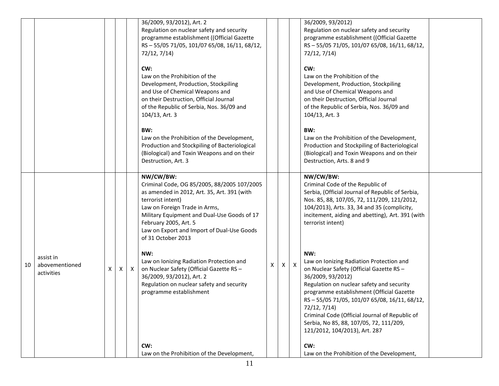|    |                                           |   |   |              | 36/2009, 93/2012), Art. 2<br>Regulation on nuclear safety and security<br>programme establishment ((Official Gazette                                                                                                                                                                                      |   |   |              | 36/2009, 93/2012)<br>Regulation on nuclear safety and security<br>programme establishment ((Official Gazette                                                                                                                                                                                                                                                                                            |  |
|----|-------------------------------------------|---|---|--------------|-----------------------------------------------------------------------------------------------------------------------------------------------------------------------------------------------------------------------------------------------------------------------------------------------------------|---|---|--------------|---------------------------------------------------------------------------------------------------------------------------------------------------------------------------------------------------------------------------------------------------------------------------------------------------------------------------------------------------------------------------------------------------------|--|
|    |                                           |   |   |              | RS-55/05 71/05, 101/07 65/08, 16/11, 68/12,<br>72/12, 7/14)                                                                                                                                                                                                                                               |   |   |              | RS-55/05 71/05, 101/07 65/08, 16/11, 68/12,<br>72/12, 7/14)                                                                                                                                                                                                                                                                                                                                             |  |
|    |                                           |   |   |              | CW:<br>Law on the Prohibition of the<br>Development, Production, Stockpiling<br>and Use of Chemical Weapons and<br>on their Destruction, Official Journal<br>of the Republic of Serbia, Nos. 36/09 and<br>104/13, Art. 3                                                                                  |   |   |              | CW:<br>Law on the Prohibition of the<br>Development, Production, Stockpiling<br>and Use of Chemical Weapons and<br>on their Destruction, Official Journal<br>of the Republic of Serbia, Nos. 36/09 and<br>104/13, Art. 3                                                                                                                                                                                |  |
|    |                                           |   |   |              | BW:<br>Law on the Prohibition of the Development,<br>Production and Stockpiling of Bacteriological<br>(Biological) and Toxin Weapons and on their<br>Destruction, Art. 3                                                                                                                                  |   |   |              | BW:<br>Law on the Prohibition of the Development,<br>Production and Stockpiling of Bacteriological<br>(Biological) and Toxin Weapons and on their<br>Destruction, Arts. 8 and 9                                                                                                                                                                                                                         |  |
|    |                                           |   |   |              | NW/CW/BW:<br>Criminal Code, OG 85/2005, 88/2005 107/2005<br>as amended in 2012, Art. 35, Art. 391 (with<br>terrorist intent)<br>Law on Foreign Trade in Arms,<br>Military Equipment and Dual-Use Goods of 17<br>February 2005, Art. 5<br>Law on Export and Import of Dual-Use Goods<br>of 31 October 2013 |   |   |              | NW/CW/BW:<br>Criminal Code of the Republic of<br>Serbia, (Official Journal of Republic of Serbia,<br>Nos. 85, 88, 107/05, 72, 111/209, 121/2012,<br>104/2013), Arts. 33, 34 and 35 (complicity,<br>incitement, aiding and abetting), Art. 391 (with<br>terrorist intent)                                                                                                                                |  |
| 10 | assist in<br>abovementioned<br>activities | X | X | $\mathsf{X}$ | NW:<br>Law on Ionizing Radiation Protection and<br>on Nuclear Safety (Official Gazette RS -<br>36/2009, 93/2012), Art. 2<br>Regulation on nuclear safety and security<br>programme establishment                                                                                                          | X | X | $\mathsf{X}$ | NW:<br>Law on Ionizing Radiation Protection and<br>on Nuclear Safety (Official Gazette RS -<br>36/2009, 93/2012)<br>Regulation on nuclear safety and security<br>programme establishment (Official Gazette<br>RS-55/05 71/05, 101/07 65/08, 16/11, 68/12,<br>72/12, 7/14)<br>Criminal Code (Official Journal of Republic of<br>Serbia, No 85, 88, 107/05, 72, 111/209,<br>121/2012, 104/2013), Art. 287 |  |
|    |                                           |   |   |              | CW:<br>Law on the Prohibition of the Development,                                                                                                                                                                                                                                                         |   |   |              | CW:<br>Law on the Prohibition of the Development,                                                                                                                                                                                                                                                                                                                                                       |  |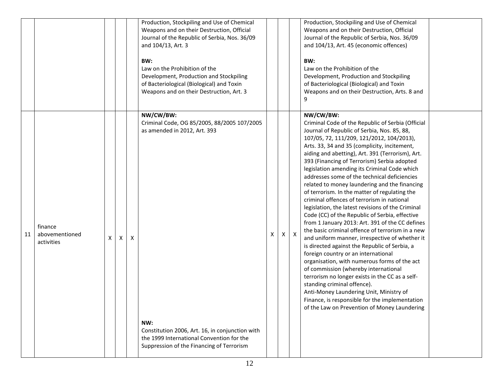|    |                                         |    |   |   | Production, Stockpiling and Use of Chemical<br>Weapons and on their Destruction, Official<br>Journal of the Republic of Serbia, Nos. 36/09<br>and 104/13, Art. 3<br>BW:<br>Law on the Prohibition of the<br>Development, Production and Stockpiling<br>of Bacteriological (Biological) and Toxin<br>Weapons and on their Destruction, Art. 3 |   |   |                           | Production, Stockpiling and Use of Chemical<br>Weapons and on their Destruction, Official<br>Journal of the Republic of Serbia, Nos. 36/09<br>and 104/13, Art. 45 (economic offences)<br>BW:<br>Law on the Prohibition of the<br>Development, Production and Stockpiling<br>of Bacteriological (Biological) and Toxin<br>Weapons and on their Destruction, Arts. 8 and<br>9                                                                                                                                                                                                                                                                                                                                                                                                                                                                                                                                                                                                                                                                                                                                                                                                                                                                  |  |
|----|-----------------------------------------|----|---|---|----------------------------------------------------------------------------------------------------------------------------------------------------------------------------------------------------------------------------------------------------------------------------------------------------------------------------------------------|---|---|---------------------------|----------------------------------------------------------------------------------------------------------------------------------------------------------------------------------------------------------------------------------------------------------------------------------------------------------------------------------------------------------------------------------------------------------------------------------------------------------------------------------------------------------------------------------------------------------------------------------------------------------------------------------------------------------------------------------------------------------------------------------------------------------------------------------------------------------------------------------------------------------------------------------------------------------------------------------------------------------------------------------------------------------------------------------------------------------------------------------------------------------------------------------------------------------------------------------------------------------------------------------------------|--|
| 11 | finance<br>abovementioned<br>activities | X. | X | X | NW/CW/BW:<br>Criminal Code, OG 85/2005, 88/2005 107/2005<br>as amended in 2012, Art. 393<br>NW:<br>Constitution 2006, Art. 16, in conjunction with<br>the 1999 International Convention for the<br>Suppression of the Financing of Terrorism                                                                                                 | X | x | $\boldsymbol{\mathsf{X}}$ | NW/CW/BW:<br>Criminal Code of the Republic of Serbia (Official<br>Journal of Republic of Serbia, Nos. 85, 88,<br>107/05, 72, 111/209, 121/2012, 104/2013),<br>Arts. 33, 34 and 35 (complicity, incitement,<br>aiding and abetting), Art. 391 (Terrorism), Art.<br>393 (Financing of Terrorism) Serbia adopted<br>legislation amending its Criminal Code which<br>addresses some of the technical deficiencies<br>related to money laundering and the financing<br>of terrorism. In the matter of regulating the<br>criminal offences of terrorism in national<br>legislation, the latest revisions of the Criminal<br>Code (CC) of the Republic of Serbia, effective<br>from 1 January 2013: Art. 391 of the CC defines<br>the basic criminal offence of terrorism in a new<br>and uniform manner, irrespective of whether it<br>is directed against the Republic of Serbia, a<br>foreign country or an international<br>organisation, with numerous forms of the act<br>of commission (whereby international<br>terrorism no longer exists in the CC as a self-<br>standing criminal offence).<br>Anti-Money Laundering Unit, Ministry of<br>Finance, is responsible for the implementation<br>of the Law on Prevention of Money Laundering |  |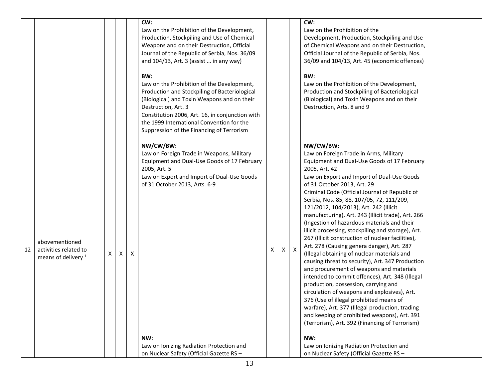|                                                                                 |   |              |   | Production, Stockpiling and Use of Chemical<br>Weapons and on their Destruction, Official<br>Journal of the Republic of Serbia, Nos. 36/09<br>and 104/13, Art. 3 (assist  in any way)<br>BW:<br>Law on the Prohibition of the Development,<br>Production and Stockpiling of Bacteriological<br>(Biological) and Toxin Weapons and on their<br>Destruction, Art. 3<br>Constitution 2006, Art. 16, in conjunction with<br>the 1999 International Convention for the<br>Suppression of the Financing of Terrorism |    |    |   | Development, Production, Stockpiling and Use<br>of Chemical Weapons and on their Destruction,<br>Official Journal of the Republic of Serbia, Nos.<br>36/09 and 104/13, Art. 45 (economic offences)<br>BW:<br>Law on the Prohibition of the Development,<br>Production and Stockpiling of Bacteriological<br>(Biological) and Toxin Weapons and on their<br>Destruction, Arts. 8 and 9                                                                                                                                                                                                                                                                                                                                                                                                                                                                                                                                                                                                                                                                                                                                                                                                            |  |
|---------------------------------------------------------------------------------|---|--------------|---|----------------------------------------------------------------------------------------------------------------------------------------------------------------------------------------------------------------------------------------------------------------------------------------------------------------------------------------------------------------------------------------------------------------------------------------------------------------------------------------------------------------|----|----|---|--------------------------------------------------------------------------------------------------------------------------------------------------------------------------------------------------------------------------------------------------------------------------------------------------------------------------------------------------------------------------------------------------------------------------------------------------------------------------------------------------------------------------------------------------------------------------------------------------------------------------------------------------------------------------------------------------------------------------------------------------------------------------------------------------------------------------------------------------------------------------------------------------------------------------------------------------------------------------------------------------------------------------------------------------------------------------------------------------------------------------------------------------------------------------------------------------|--|
| abovementioned<br>activities related to<br>12<br>means of delivery <sup>1</sup> | X | $\mathsf{X}$ | Х | NW/CW/BW:<br>Law on Foreign Trade in Weapons, Military<br>Equipment and Dual-Use Goods of 17 February<br>2005, Art. 5<br>Law on Export and Import of Dual-Use Goods<br>of 31 October 2013, Arts. 6-9<br>NW:<br>Law on Ionizing Radiation Protection and<br>on Nuclear Safety (Official Gazette RS -                                                                                                                                                                                                            | X. | X. | X | NW/CW/BW:<br>Law on Foreign Trade in Arms, Military<br>Equipment and Dual-Use Goods of 17 February<br>2005, Art. 42<br>Law on Export and Import of Dual-Use Goods<br>of 31 October 2013, Art. 29<br>Criminal Code (Official Journal of Republic of<br>Serbia, Nos. 85, 88, 107/05, 72, 111/209,<br>121/2012, 104/2013), Art. 242 (Illicit<br>manufacturing), Art. 243 (Illicit trade), Art. 266<br>(Ingestion of hazardous materials and their<br>illicit processing, stockpiling and storage), Art.<br>267 (Illicit construction of nuclear facilities),<br>Art. 278 (Causing genera danger), Art. 287<br>(Illegal obtaining of nuclear materials and<br>causing threat to security), Art. 347 Production<br>and procurement of weapons and materials<br>intended to commit offences), Art. 348 (Illegal<br>production, possession, carrying and<br>circulation of weapons and explosives), Art.<br>376 (Use of illegal prohibited means of<br>warfare), Art. 377 (Illegal production, trading<br>and keeping of prohibited weapons), Art. 391<br>(Terrorism), Art. 392 (Financing of Terrorism)<br>NW:<br>Law on Ionizing Radiation Protection and<br>on Nuclear Safety (Official Gazette RS - |  |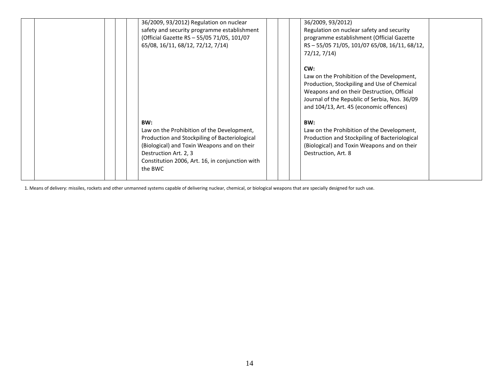| 36/2009, 93/2012) Regulation on nuclear<br>safety and security programme establishment<br>(Official Gazette RS - 55/05 71/05, 101/07<br>65/08, 16/11, 68/12, 72/12, 7/14)                                                                | 36/2009, 93/2012)<br>Regulation on nuclear safety and security<br>programme establishment (Official Gazette<br>RS-55/05 71/05, 101/07 65/08, 16/11, 68/12,<br>72/12, 7/14)                                                                 |  |
|------------------------------------------------------------------------------------------------------------------------------------------------------------------------------------------------------------------------------------------|--------------------------------------------------------------------------------------------------------------------------------------------------------------------------------------------------------------------------------------------|--|
|                                                                                                                                                                                                                                          | CW:<br>Law on the Prohibition of the Development,<br>Production, Stockpiling and Use of Chemical<br>Weapons and on their Destruction, Official<br>Journal of the Republic of Serbia, Nos. 36/09<br>and 104/13, Art. 45 (economic offences) |  |
| BW:<br>Law on the Prohibition of the Development,<br>Production and Stockpiling of Bacteriological<br>(Biological) and Toxin Weapons and on their<br>Destruction Art. 2, 3<br>Constitution 2006, Art. 16, in conjunction with<br>the BWC | BW:<br>Law on the Prohibition of the Development,<br>Production and Stockpiling of Bacteriological<br>(Biological) and Toxin Weapons and on their<br>Destruction, Art. 8                                                                   |  |

1. Means of delivery: missiles, rockets and other unmanned systems capable of delivering nuclear, chemical, or biological weapons that are specially designed for such use.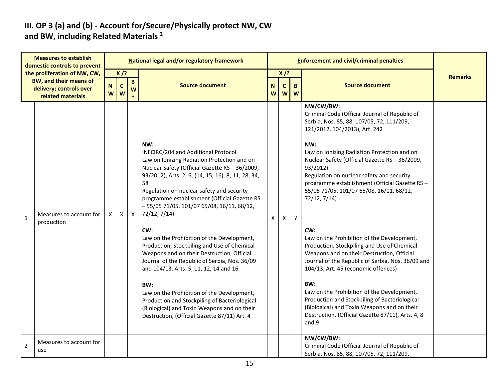#### **III. OP 3 (a) and (b) - Account for/Secure/Physically protect NW, CW and BW, including Related Materials <sup>2</sup>**

| <b>Measures to establish</b><br>domestic controls to prevent |                                                               | National legal and/or regulatory framework |                            |              |                                                                                                                                                                                                                                                                                                                                                                                                                                                                                                                                                                                                                                                                                                                                                                                                                       |        |                   | <b>Enforcement and civil/criminal penalties</b> |                                                                                                                                                                                                                                                                                                                                                                                                                                                                                                                                                                                                                                                                                                                                                                                                                                                                                           |                |
|--------------------------------------------------------------|---------------------------------------------------------------|--------------------------------------------|----------------------------|--------------|-----------------------------------------------------------------------------------------------------------------------------------------------------------------------------------------------------------------------------------------------------------------------------------------------------------------------------------------------------------------------------------------------------------------------------------------------------------------------------------------------------------------------------------------------------------------------------------------------------------------------------------------------------------------------------------------------------------------------------------------------------------------------------------------------------------------------|--------|-------------------|-------------------------------------------------|-------------------------------------------------------------------------------------------------------------------------------------------------------------------------------------------------------------------------------------------------------------------------------------------------------------------------------------------------------------------------------------------------------------------------------------------------------------------------------------------------------------------------------------------------------------------------------------------------------------------------------------------------------------------------------------------------------------------------------------------------------------------------------------------------------------------------------------------------------------------------------------------|----------------|
|                                                              | the proliferation of NW, CW,<br><b>BW, and their means of</b> |                                            | $X$ /?                     | $\mathbf{B}$ |                                                                                                                                                                                                                                                                                                                                                                                                                                                                                                                                                                                                                                                                                                                                                                                                                       |        | $X$ /?            |                                                 |                                                                                                                                                                                                                                                                                                                                                                                                                                                                                                                                                                                                                                                                                                                                                                                                                                                                                           | <b>Remarks</b> |
|                                                              | delivery; controls over<br>related materials                  | W                                          | N<br>$\mathbf c$<br>W<br>W |              | <b>Source document</b>                                                                                                                                                                                                                                                                                                                                                                                                                                                                                                                                                                                                                                                                                                                                                                                                | N<br>W | $\mathbf{C}$<br>W | B.<br>W                                         | <b>Source document</b>                                                                                                                                                                                                                                                                                                                                                                                                                                                                                                                                                                                                                                                                                                                                                                                                                                                                    |                |
| $\mathbf{1}$                                                 | Measures to account for<br>production                         | X                                          | $\mathsf{X}$               | $\mathsf{X}$ | NW:<br>INFCIRC/204 and Additional Protocol<br>Law on Ionizing Radiation Protection and on<br>Nuclear Safety (Official Gazette RS - 36/2009,<br>93/2012), Arts. 2, 6, (14, 15, 16), 8, 11, 28, 34,<br>58<br>Regulation on nuclear safety and security<br>programme establishment (Official Gazette RS<br>$-55/0571/05$ , 101/07 65/08, 16/11, 68/12,<br>72/12, 7/14)<br>CW:<br>Law on the Prohibition of the Development,<br>Production, Stockpiling and Use of Chemical<br>Weapons and on their Destruction, Official<br>Journal of the Republic of Serbia, Nos. 36/09<br>and 104/13, Arts. 5, 11, 12, 14 and 16<br>BW:<br>Law on the Prohibition of the Development,<br>Production and Stockpiling of Bacteriological<br>(Biological) and Toxin Weapons and on their<br>Destruction, (Official Gazette 87/11) Art. 4 | X      | X                 | ?                                               | NW/CW/BW:<br>Criminal Code (Official Journal of Republic of<br>Serbia, Nos. 85, 88, 107/05, 72, 111/209,<br>121/2012, 104/2013), Art. 242<br>NW:<br>Law on Ionizing Radiation Protection and on<br>Nuclear Safety (Official Gazette RS - 36/2009,<br>93/2012)<br>Regulation on nuclear safety and security<br>programme establishment (Official Gazette RS -<br>55/05 71/05, 101/07 65/08, 16/11, 68/12,<br>72/12, 7/14)<br>CW:<br>Law on the Prohibition of the Development,<br>Production, Stockpiling and Use of Chemical<br>Weapons and on their Destruction, Official<br>Journal of the Republic of Serbia, Nos. 36/09 and<br>104/13, Art. 45 (economic offences)<br>BW:<br>Law on the Prohibition of the Development,<br>Production and Stockpiling of Bacteriological<br>(Biological) and Toxin Weapons and on their<br>Destruction, (Official Gazette 87/11), Arts. 4, 8<br>and 9 |                |
| $\overline{2}$                                               | Measures to account for<br>use                                |                                            |                            |              |                                                                                                                                                                                                                                                                                                                                                                                                                                                                                                                                                                                                                                                                                                                                                                                                                       |        |                   |                                                 | NW/CW/BW:<br>Criminal Code (Official Journal of Republic of<br>Serbia, Nos. 85, 88, 107/05, 72, 111/209,                                                                                                                                                                                                                                                                                                                                                                                                                                                                                                                                                                                                                                                                                                                                                                                  |                |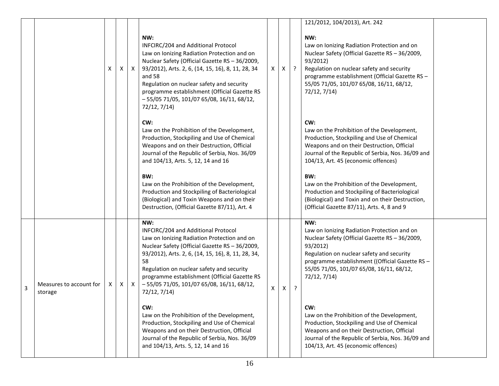|   |                                    |    |   |              |                                                                                                                                                                                                                                                                                                                                                                        |            |              |         | 121/2012, 104/2013), Art. 242                                                                                                                                                                                                                                                |  |
|---|------------------------------------|----|---|--------------|------------------------------------------------------------------------------------------------------------------------------------------------------------------------------------------------------------------------------------------------------------------------------------------------------------------------------------------------------------------------|------------|--------------|---------|------------------------------------------------------------------------------------------------------------------------------------------------------------------------------------------------------------------------------------------------------------------------------|--|
|   |                                    | X  | X | $\mathsf{X}$ | NW:<br>INFCIRC/204 and Additional Protocol<br>Law on Ionizing Radiation Protection and on<br>Nuclear Safety (Official Gazette RS - 36/2009,<br>93/2012), Arts. 2, 6, (14, 15, 16), 8, 11, 28, 34<br>and 58<br>Regulation on nuclear safety and security<br>programme establishment (Official Gazette RS<br>$-55/0571/05$ , 101/07 65/08, 16/11, 68/12,<br>72/12, 7/14) | $\times$ 1 | $\mathsf{X}$ | $\cdot$ | NW:<br>Law on Ionizing Radiation Protection and on<br>Nuclear Safety (Official Gazette RS - 36/2009,<br>93/2012)<br>Regulation on nuclear safety and security<br>programme establishment (Official Gazette RS -<br>55/05 71/05, 101/07 65/08, 16/11, 68/12,<br>72/12, 7/14)  |  |
|   |                                    |    |   |              | CW:<br>Law on the Prohibition of the Development,<br>Production, Stockpiling and Use of Chemical<br>Weapons and on their Destruction, Official<br>Journal of the Republic of Serbia, Nos. 36/09<br>and 104/13, Arts. 5, 12, 14 and 16                                                                                                                                  |            |              |         | CW:<br>Law on the Prohibition of the Development,<br>Production, Stockpiling and Use of Chemical<br>Weapons and on their Destruction, Official<br>Journal of the Republic of Serbia, Nos. 36/09 and<br>104/13, Art. 45 (economic offences)                                   |  |
|   |                                    |    |   |              | BW:<br>Law on the Prohibition of the Development,<br>Production and Stockpiling of Bacteriological<br>(Biological) and Toxin Weapons and on their<br>Destruction, (Official Gazette 87/11), Art. 4                                                                                                                                                                     |            |              |         | BW:<br>Law on the Prohibition of the Development,<br>Production and Stockpiling of Bacteriological<br>(Biological) and Toxin and on their Destruction,<br>(Official Gazette 87/11), Arts. 4, 8 and 9                                                                         |  |
| 3 | Measures to account for<br>storage | X. | X | $\mathsf{X}$ | NW:<br>INFCIRC/204 and Additional Protocol<br>Law on Ionizing Radiation Protection and on<br>Nuclear Safety (Official Gazette RS - 36/2009,<br>93/2012), Arts. 2, 6, (14, 15, 16), 8, 11, 28, 34,<br>58<br>Regulation on nuclear safety and security<br>programme establishment (Official Gazette RS<br>$-55/0571/05$ , 101/07 65/08, 16/11, 68/12,<br>72/12, 7/14)    | X          | $\mathsf{X}$ | ?       | NW:<br>Law on Ionizing Radiation Protection and on<br>Nuclear Safety (Official Gazette RS - 36/2009,<br>93/2012)<br>Regulation on nuclear safety and security<br>programme establishment ((Official Gazette RS -<br>55/05 71/05, 101/07 65/08, 16/11, 68/12,<br>72/12, 7/14) |  |
|   |                                    |    |   |              | CW:<br>Law on the Prohibition of the Development,<br>Production, Stockpiling and Use of Chemical<br>Weapons and on their Destruction, Official<br>Journal of the Republic of Serbia, Nos. 36/09<br>and 104/13, Arts. 5, 12, 14 and 16                                                                                                                                  |            |              |         | CW:<br>Law on the Prohibition of the Development,<br>Production, Stockpiling and Use of Chemical<br>Weapons and on their Destruction, Official<br>Journal of the Republic of Serbia, Nos. 36/09 and<br>104/13, Art. 45 (economic offences)                                   |  |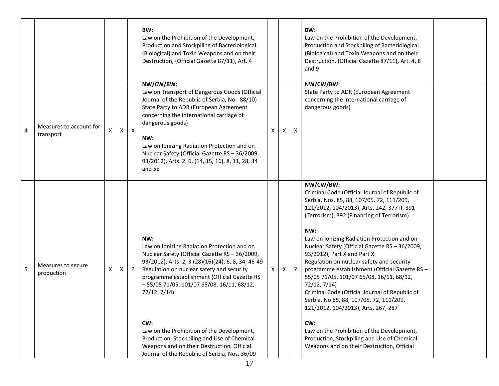|   |                                      |   |          |              | BW:<br>Law on the Prohibition of the Development,<br>Production and Stockpiling of Bacteriological<br>(Biological) and Toxin Weapons and on their<br>Destruction, (Official Gazette 87/11), Art. 4                                                                                                                                                                                                                                                                                                                        |    |   |                           | BW:<br>Law on the Prohibition of the Development,<br>Production and Stockpiling of Bacteriological<br>(Biological) and Toxin Weapons and on their<br>Destruction, (Official Gazette 87/11), Art. 4, 8<br>and 9                                                                                                                                                                                                                                                                                                                                                                                                                                                                                                                                                                                |  |
|---|--------------------------------------|---|----------|--------------|---------------------------------------------------------------------------------------------------------------------------------------------------------------------------------------------------------------------------------------------------------------------------------------------------------------------------------------------------------------------------------------------------------------------------------------------------------------------------------------------------------------------------|----|---|---------------------------|-----------------------------------------------------------------------------------------------------------------------------------------------------------------------------------------------------------------------------------------------------------------------------------------------------------------------------------------------------------------------------------------------------------------------------------------------------------------------------------------------------------------------------------------------------------------------------------------------------------------------------------------------------------------------------------------------------------------------------------------------------------------------------------------------|--|
| 4 | Measures to account for<br>transport |   | $\times$ | $\mathsf{X}$ | NW/CW/BW:<br>Law on Transport of Dangerous Goods (Official<br>Journal of the Republic of Serbia, No. 88/10)<br>State Party to ADR (European Agreement<br>concerning the international carriage of<br>dangerous goods)<br>NW:<br>Law on Ionizing Radiation Protection and on<br>Nuclear Safety (Official Gazette RS - 36/2009,<br>93/2012), Arts. 2, 6, (14, 15, 16), 8, 11, 28, 34<br>and 58                                                                                                                              | X  | X | $\boldsymbol{\mathsf{X}}$ | NW/CW/BW:<br>State Party to ADR (European Agreement<br>concerning the international carriage of<br>dangerous goods)                                                                                                                                                                                                                                                                                                                                                                                                                                                                                                                                                                                                                                                                           |  |
| 5 | Measures to secure<br>production     | Χ | X        | $\cdot$      | NW:<br>Law on Ionizing Radiation Protection and on<br>Nuclear Safety (Official Gazette RS - 36/2009,<br>93/2012), Arts. 2, 3 (28)(16)(24), 6, 8, 34, 46-49<br>Regulation on nuclear safety and security<br>programme establishment (Official Gazette RS<br>$-55/0571/05$ , 101/07 65/08, 16/11, 68/12,<br>72/12, 7/14)<br>CW:<br>Law on the Prohibition of the Development,<br>Production, Stockpiling and Use of Chemical<br>Weapons and on their Destruction, Official<br>Journal of the Republic of Serbia, Nos. 36/09 | X. | X | $\cdot$                   | NW/CW/BW:<br>Criminal Code (Official Journal of Republic of<br>Serbia, Nos. 85, 88, 107/05, 72, 111/209,<br>121/2012, 104/2013), Arts. 242, 377 II, 391<br>(Terrorism), 392 (Financing of Terrorism)<br>NW:<br>Law on Ionizing Radiation Protection and on<br>Nuclear Safety (Official Gazette RS - 36/2009,<br>93/2012), Part X and Part XI<br>Regulation on nuclear safety and security<br>programme establishment (Official Gazette RS -<br>55/05 71/05, 101/07 65/08, 16/11, 68/12,<br>72/12, 7/14)<br>Criminal Code (Official Journal of Republic of<br>Serbia, No 85, 88, 107/05, 72, 111/209,<br>121/2012, 104/2013), Arts. 267, 287<br>CW:<br>Law on the Prohibition of the Development,<br>Production, Stockpiling and Use of Chemical<br>Weapons and on their Destruction, Official |  |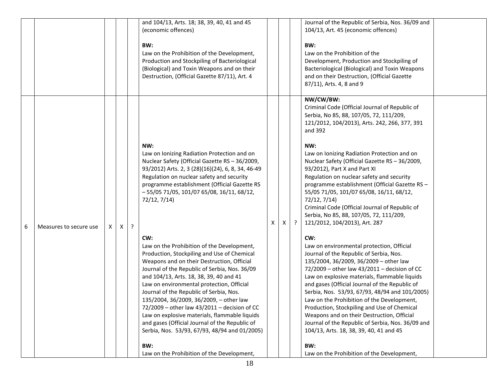|   |                        |    |          |   | and 104/13, Arts. 18; 38, 39, 40, 41 and 45<br>(economic offences)<br>BW:<br>Law on the Prohibition of the Development,<br>Production and Stockpiling of Bacteriological                                                                                                                                                                                                                                                                                                                                                                                                          |   |   |           | Journal of the Republic of Serbia, Nos. 36/09 and<br>104/13, Art. 45 (economic offences)<br>BW:<br>Law on the Prohibition of the<br>Development, Production and Stockpiling of                                                                                                                                                                                                                                                                                                                                                                                                        |  |
|---|------------------------|----|----------|---|-----------------------------------------------------------------------------------------------------------------------------------------------------------------------------------------------------------------------------------------------------------------------------------------------------------------------------------------------------------------------------------------------------------------------------------------------------------------------------------------------------------------------------------------------------------------------------------|---|---|-----------|---------------------------------------------------------------------------------------------------------------------------------------------------------------------------------------------------------------------------------------------------------------------------------------------------------------------------------------------------------------------------------------------------------------------------------------------------------------------------------------------------------------------------------------------------------------------------------------|--|
|   |                        |    |          |   | (Biological) and Toxin Weapons and on their<br>Destruction, (Official Gazette 87/11), Art. 4                                                                                                                                                                                                                                                                                                                                                                                                                                                                                      |   |   |           | Bacteriological (Biological) and Toxin Weapons<br>and on their Destruction, (Official Gazette<br>87/11), Arts. 4, 8 and 9                                                                                                                                                                                                                                                                                                                                                                                                                                                             |  |
|   |                        |    |          |   |                                                                                                                                                                                                                                                                                                                                                                                                                                                                                                                                                                                   |   |   |           | NW/CW/BW:<br>Criminal Code (Official Journal of Republic of<br>Serbia, No 85, 88, 107/05, 72, 111/209,<br>121/2012, 104/2013), Arts. 242, 266, 377, 391<br>and 392                                                                                                                                                                                                                                                                                                                                                                                                                    |  |
| 6 | Measures to secure use | X. | $\times$ | ? | NW:<br>Law on Ionizing Radiation Protection and on<br>Nuclear Safety (Official Gazette RS - 36/2009,<br>93/2012) Arts. 2, 3 (28)(16)(24), 6, 8, 34, 46-49<br>Regulation on nuclear safety and security<br>programme establishment (Official Gazette RS<br>$-55/0571/05$ , 101/07 65/08, 16/11, 68/12,<br>72/12, 7/14)                                                                                                                                                                                                                                                             | X | X | $\cdot$ ? | NW:<br>Law on Ionizing Radiation Protection and on<br>Nuclear Safety (Official Gazette RS - 36/2009,<br>93/2012), Part X and Part XI<br>Regulation on nuclear safety and security<br>programme establishment (Official Gazette RS -<br>55/05 71/05, 101/07 65/08, 16/11, 68/12,<br>72/12, 7/14)<br>Criminal Code (Official Journal of Republic of<br>Serbia, No 85, 88, 107/05, 72, 111/209,<br>121/2012, 104/2013), Art. 287                                                                                                                                                         |  |
|   |                        |    |          |   | CW:<br>Law on the Prohibition of the Development,<br>Production, Stockpiling and Use of Chemical<br>Weapons and on their Destruction, Official<br>Journal of the Republic of Serbia, Nos. 36/09<br>and 104/13, Arts. 18, 38, 39, 40 and 41<br>Law on environmental protection, Official<br>Journal of the Republic of Serbia, Nos.<br>135/2004, 36/2009, 36/2009, - other law<br>72/2009 - other law 43/2011 - decision of CC<br>Law on explosive materials, flammable liquids<br>and gases (Official Journal of the Republic of<br>Serbia, Nos. 53/93, 67/93, 48/94 and 01/2005) |   |   |           | CW:<br>Law on environmental protection, Official<br>Journal of the Republic of Serbia, Nos.<br>135/2004, 36/2009, 36/2009 - other law<br>72/2009 - other law 43/2011 - decision of CC<br>Law on explosive materials, flammable liquids<br>and gases (Official Journal of the Republic of<br>Serbia, Nos. 53/93, 67/93, 48/94 and 101/2005)<br>Law on the Prohibition of the Development,<br>Production, Stockpiling and Use of Chemical<br>Weapons and on their Destruction, Official<br>Journal of the Republic of Serbia, Nos. 36/09 and<br>104/13, Arts. 18, 38, 39, 40, 41 and 45 |  |
|   |                        |    |          |   | BW:<br>Law on the Prohibition of the Development,                                                                                                                                                                                                                                                                                                                                                                                                                                                                                                                                 |   |   |           | BW:<br>Law on the Prohibition of the Development,                                                                                                                                                                                                                                                                                                                                                                                                                                                                                                                                     |  |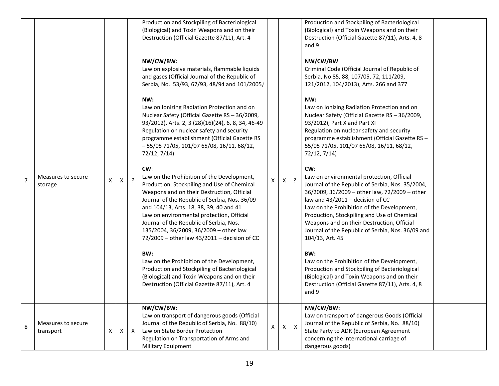|                |                                 |              |              |                | Production and Stockpiling of Bacteriological<br>(Biological) and Toxin Weapons and on their<br>Destruction (Official Gazette 87/11), Art. 4                                                                                                                                                                                                                                                                                                                                                                                                                                                                                                                                                                                                                                                                                                                                                                                                                                                                                                                                                                                 |                    |                |                | Production and Stockpiling of Bacteriological<br>(Biological) and Toxin Weapons and on their<br>Destruction (Official Gazette 87/11), Arts. 4, 8<br>and 9                                                                                                                                                                                                                                                                                                                                                                                                                                                                                                                                                                                                                                                                                                                                                                                                                                                                                                                            |  |
|----------------|---------------------------------|--------------|--------------|----------------|------------------------------------------------------------------------------------------------------------------------------------------------------------------------------------------------------------------------------------------------------------------------------------------------------------------------------------------------------------------------------------------------------------------------------------------------------------------------------------------------------------------------------------------------------------------------------------------------------------------------------------------------------------------------------------------------------------------------------------------------------------------------------------------------------------------------------------------------------------------------------------------------------------------------------------------------------------------------------------------------------------------------------------------------------------------------------------------------------------------------------|--------------------|----------------|----------------|--------------------------------------------------------------------------------------------------------------------------------------------------------------------------------------------------------------------------------------------------------------------------------------------------------------------------------------------------------------------------------------------------------------------------------------------------------------------------------------------------------------------------------------------------------------------------------------------------------------------------------------------------------------------------------------------------------------------------------------------------------------------------------------------------------------------------------------------------------------------------------------------------------------------------------------------------------------------------------------------------------------------------------------------------------------------------------------|--|
| $\overline{7}$ | Measures to secure<br>storage   | $\mathsf{x}$ | $\mathsf{x}$ | $\overline{?}$ | NW/CW/BW:<br>Law on explosive materials, flammable liquids<br>and gases (Official Journal of the Republic of<br>Serbia, No. 53/93, 67/93, 48/94 and 101/2005)<br>NW:<br>Law on Ionizing Radiation Protection and on<br>Nuclear Safety (Official Gazette RS - 36/2009,<br>93/2012), Arts. 2, 3 (28)(16)(24), 6, 8, 34, 46-49<br>Regulation on nuclear safety and security<br>programme establishment (Official Gazette RS<br>$-55/0571/05$ , 101/07 65/08, 16/11, 68/12,<br>72/12, 7/14)<br>CW:<br>Law on the Prohibition of the Development,<br>Production, Stockpiling and Use of Chemical<br>Weapons and on their Destruction, Official<br>Journal of the Republic of Serbia, Nos. 36/09<br>and 104/13, Arts. 18, 38, 39, 40 and 41<br>Law on environmental protection, Official<br>Journal of the Republic of Serbia, Nos.<br>135/2004, 36/2009, 36/2009 - other law<br>72/2009 - other law 43/2011 - decision of CC<br>BW:<br>Law on the Prohibition of the Development,<br>Production and Stockpiling of Bacteriological<br>(Biological) and Toxin Weapons and on their<br>Destruction (Official Gazette 87/11), Art. 4 | $\pmb{\mathsf{X}}$ | $\mathsf{X}^-$ | $\overline{?}$ | NW/CW/BW<br>Criminal Code (Official Journal of Republic of<br>Serbia, No 85, 88, 107/05, 72, 111/209,<br>121/2012, 104/2013), Arts. 266 and 377<br>NW:<br>Law on Ionizing Radiation Protection and on<br>Nuclear Safety (Official Gazette RS - 36/2009,<br>93/2012), Part X and Part XI<br>Regulation on nuclear safety and security<br>programme establishment (Official Gazette RS -<br>55/05 71/05, 101/07 65/08, 16/11, 68/12,<br>72/12, 7/14)<br>CW:<br>Law on environmental protection, Official<br>Journal of the Republic of Serbia, Nos. 35/2004,<br>36/2009, 36/2009 - other law, 72/2009 - other<br>law and 43/2011 - decision of CC<br>Law on the Prohibition of the Development,<br>Production, Stockpiling and Use of Chemical<br>Weapons and on their Destruction, Official<br>Journal of the Republic of Serbia, Nos. 36/09 and<br>104/13, Art. 45<br>BW:<br>Law on the Prohibition of the Development,<br>Production and Stockpiling of Bacteriological<br>(Biological) and Toxin Weapons and on their<br>Destruction (Official Gazette 87/11), Arts. 4, 8<br>and 9 |  |
| 8              | Measures to secure<br>transport | Χ            | Χ            | $\mathsf{X}$   | NW/CW/BW:<br>Law on transport of dangerous goods (Official<br>Journal of the Republic of Serbia, No. 88/10)<br>Law on State Border Protection<br>Regulation on Transportation of Arms and<br>Military Equipment                                                                                                                                                                                                                                                                                                                                                                                                                                                                                                                                                                                                                                                                                                                                                                                                                                                                                                              | $\mathsf{X}$       | $\mathsf{X}$   | $\mathsf{X}$   | NW/CW/BW:<br>Law on transport of dangerous Goods (Official<br>Journal of the Republic of Serbia, No. 88/10)<br>State Party to ADR (European Agreement<br>concerning the international carriage of<br>dangerous goods)                                                                                                                                                                                                                                                                                                                                                                                                                                                                                                                                                                                                                                                                                                                                                                                                                                                                |  |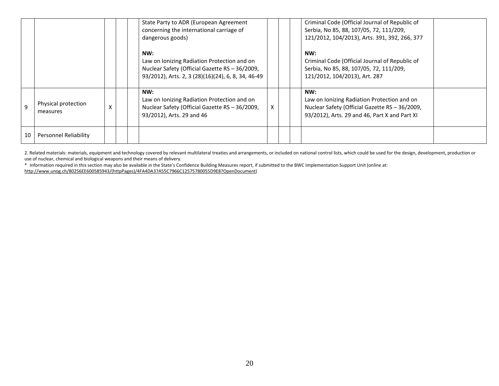|    |                                 |   | State Party to ADR (European Agreement<br>concerning the international carriage of<br>dangerous goods)                                                     |   | Criminal Code (Official Journal of Republic of<br>Serbia, No 85, 88, 107/05, 72, 111/209,<br>121/2012, 104/2013), Arts. 391, 392, 266, 377            |  |
|----|---------------------------------|---|------------------------------------------------------------------------------------------------------------------------------------------------------------|---|-------------------------------------------------------------------------------------------------------------------------------------------------------|--|
|    |                                 |   | NW:<br>Law on Ionizing Radiation Protection and on<br>Nuclear Safety (Official Gazette RS - 36/2009,<br>93/2012), Arts. 2, 3 (28)(16)(24), 6, 8, 34, 46-49 |   | NW:<br>Criminal Code (Official Journal of Republic of<br>Serbia, No 85, 88, 107/05, 72, 111/209,<br>121/2012, 104/2013), Art. 287                     |  |
| 9  | Physical protection<br>measures | X | NW:<br>Law on Ionizing Radiation Protection and on<br>Nuclear Safety (Official Gazette RS - 36/2009,<br>93/2012), Arts. 29 and 46                          | X | NW:<br>Law on Ionizing Radiation Protection and on<br>Nuclear Safety (Official Gazette RS - 36/2009,<br>93/2012), Arts. 29 and 46, Part X and Part XI |  |
| 10 | Personnel Reliability           |   |                                                                                                                                                            |   |                                                                                                                                                       |  |

2. Related materials: materials, equipment and technology covered by relevant multilateral treaties and arrangements, or included on national control lists, which could be used for the design, development, production or use of nuclear, chemical and biological weapons and their means of delivery.

\* Information required in this section may also be available in the State's Confidence Building Measures report, if submitted to the BWC Implementation Support Unit (online at: [http://www.unog.ch/80256EE600585943/\(httpPages\)/4FA4DA37A55C7966C12575780055D9E8?OpenDocument\)](http://www.unog.ch/80256EE600585943/(httpPages)/4FA4DA37A55C7966C12575780055D9E8?OpenDocument)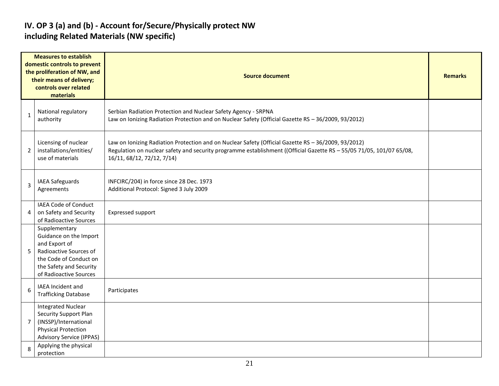#### **IV. OP 3 (a) and (b) - Account for/Secure/Physically protect NW including Related Materials (NW specific)**

|                | <b>Measures to establish</b><br>domestic controls to prevent<br>the proliferation of NW, and<br>their means of delivery;<br>controls over related<br>materials    | <b>Source document</b>                                                                                                                                                                                                                                    |  |  |  |  |  |
|----------------|-------------------------------------------------------------------------------------------------------------------------------------------------------------------|-----------------------------------------------------------------------------------------------------------------------------------------------------------------------------------------------------------------------------------------------------------|--|--|--|--|--|
| $\mathbf{1}$   | National regulatory<br>authority                                                                                                                                  | Serbian Radiation Protection and Nuclear Safety Agency - SRPNA<br>Law on Ionizing Radiation Protection and on Nuclear Safety (Official Gazette RS - 36/2009, 93/2012)                                                                                     |  |  |  |  |  |
| 2              | Licensing of nuclear<br>installations/entities/<br>use of materials                                                                                               | Law on Ionizing Radiation Protection and on Nuclear Safety (Official Gazette RS - 36/2009, 93/2012)<br>Regulation on nuclear safety and security programme establishment ((Official Gazette RS - 55/05 71/05, 101/07 65/08,<br>16/11, 68/12, 72/12, 7/14) |  |  |  |  |  |
| 3              | IAEA Safeguards<br>Agreements                                                                                                                                     | INFCIRC/204) in force since 28 Dec. 1973<br>Additional Protocol: Signed 3 July 2009                                                                                                                                                                       |  |  |  |  |  |
| 4              | <b>IAEA Code of Conduct</b><br>on Safety and Security<br>of Radioactive Sources                                                                                   | Expressed support                                                                                                                                                                                                                                         |  |  |  |  |  |
| 5              | Supplementary<br>Guidance on the Import<br>and Export of<br>Radioactive Sources of<br>the Code of Conduct on<br>the Safety and Security<br>of Radioactive Sources |                                                                                                                                                                                                                                                           |  |  |  |  |  |
| 6              | <b>IAEA Incident and</b><br><b>Trafficking Database</b>                                                                                                           | Participates                                                                                                                                                                                                                                              |  |  |  |  |  |
| $\overline{7}$ | <b>Integrated Nuclear</b><br>Security Support Plan<br>(INSSP)/International<br><b>Physical Protection</b><br><b>Advisory Service (IPPAS)</b>                      |                                                                                                                                                                                                                                                           |  |  |  |  |  |
| 8              | Applying the physical<br>protection                                                                                                                               |                                                                                                                                                                                                                                                           |  |  |  |  |  |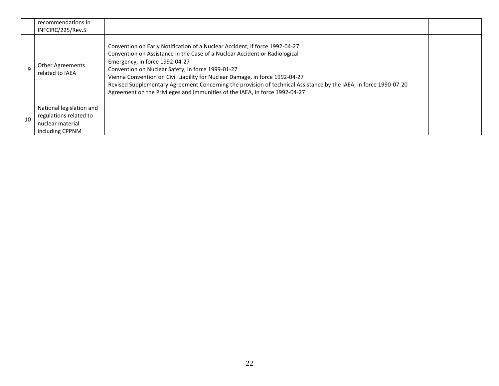|    | recommendations in<br>INFCIRC/225/Rev.5                                                   |                                                                                                                                                                                                                                                                                                                                                                                                                                                                                                                                      |  |
|----|-------------------------------------------------------------------------------------------|--------------------------------------------------------------------------------------------------------------------------------------------------------------------------------------------------------------------------------------------------------------------------------------------------------------------------------------------------------------------------------------------------------------------------------------------------------------------------------------------------------------------------------------|--|
|    | <b>Other Agreements</b><br>related to IAEA                                                | Convention on Early Notification of a Nuclear Accident, if force 1992-04-27<br>Convention on Assistance in the Case of a Nuclear Accident or Radiological<br>Emergency, in force 1992-04-27<br>Convention on Nuclear Safety, in force 1999-01-27<br>Vienna Convention on Civil Liability for Nuclear Damage, in force 1992-04-27<br>Revised Supplementary Agreement Concerning the provision of technical Assistance by the IAEA, in force 1990-07-20<br>Agreement on the Privileges and immunities of the IAEA, in force 1992-04-27 |  |
| 10 | National legislation and<br>regulations related to<br>nuclear material<br>including CPPNM |                                                                                                                                                                                                                                                                                                                                                                                                                                                                                                                                      |  |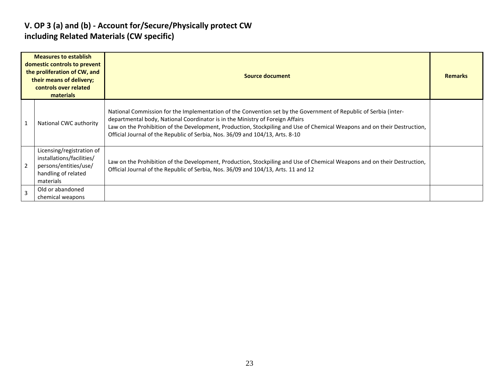#### **V. OP 3 (a) and (b) - Account for/Secure/Physically protect CW including Related Materials (CW specific)**

| <b>Measures to establish</b><br>domestic controls to prevent<br>the proliferation of CW, and<br>their means of delivery;<br>controls over related<br>materials | Source document                                                                                                                                                                                                                                                                                                                                                                                                |  |  |  |  |  |
|----------------------------------------------------------------------------------------------------------------------------------------------------------------|----------------------------------------------------------------------------------------------------------------------------------------------------------------------------------------------------------------------------------------------------------------------------------------------------------------------------------------------------------------------------------------------------------------|--|--|--|--|--|
| National CWC authority                                                                                                                                         | National Commission for the Implementation of the Convention set by the Government of Republic of Serbia (inter-<br>departmental body, National Coordinator is in the Ministry of Foreign Affairs<br>Law on the Prohibition of the Development, Production, Stockpiling and Use of Chemical Weapons and on their Destruction,<br>Official Journal of the Republic of Serbia, Nos. 36/09 and 104/13, Arts. 8-10 |  |  |  |  |  |
| Licensing/registration of<br>installations/facilities/<br>persons/entities/use/<br>handling of related<br>materials                                            | Law on the Prohibition of the Development, Production, Stockpiling and Use of Chemical Weapons and on their Destruction,<br>Official Journal of the Republic of Serbia, Nos. 36/09 and 104/13, Arts. 11 and 12                                                                                                                                                                                                 |  |  |  |  |  |
| Old or abandoned<br>chemical weapons                                                                                                                           |                                                                                                                                                                                                                                                                                                                                                                                                                |  |  |  |  |  |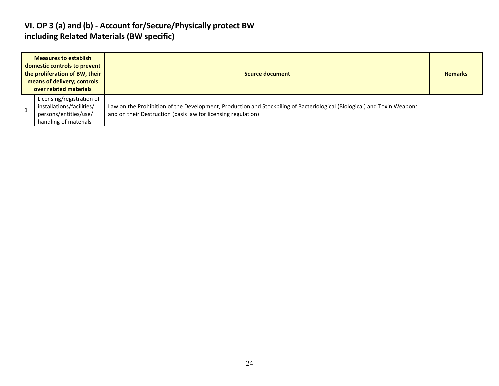#### **VI. OP 3 (a) and (b) - Account for/Secure/Physically protect BW including Related Materials (BW specific)**

| <b>Measures to establish</b><br>domestic controls to prevent<br>the proliferation of BW, their<br>means of delivery; controls<br>over related materials |                                                                                                          | Source document                                                                                                                                                                          | <b>Remarks</b> |
|---------------------------------------------------------------------------------------------------------------------------------------------------------|----------------------------------------------------------------------------------------------------------|------------------------------------------------------------------------------------------------------------------------------------------------------------------------------------------|----------------|
|                                                                                                                                                         | Licensing/registration of<br>installations/facilities/<br>persons/entities/use/<br>handling of materials | Law on the Prohibition of the Development, Production and Stockpiling of Bacteriological (Biological) and Toxin Weapons<br>and on their Destruction (basis law for licensing regulation) |                |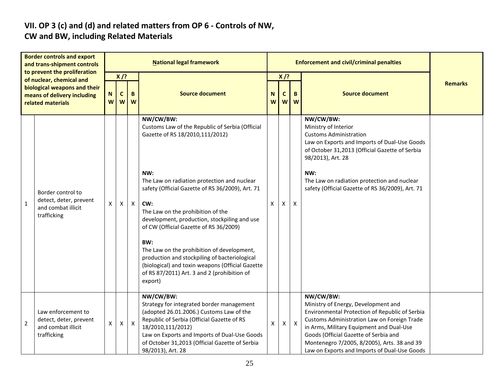# **VII. OP 3 (c) and (d) and related matters from OP 6 - Controls of NW,**

### **CW and BW, including Related Materials**

| <b>Border controls and export</b><br>and trans-shipment controls<br>to prevent the proliferation<br>of nuclear, chemical and<br>biological weapons and their<br>means of delivery including<br>related materials |                                                                                   | <b>National legal framework</b> |                  |              |                                                                                                                                                                                                                                                                                              |        |                            | <b>Enforcement and civil/criminal penalties</b> |                                                                                                                                                                                                                                                                                                                                       |                |
|------------------------------------------------------------------------------------------------------------------------------------------------------------------------------------------------------------------|-----------------------------------------------------------------------------------|---------------------------------|------------------|--------------|----------------------------------------------------------------------------------------------------------------------------------------------------------------------------------------------------------------------------------------------------------------------------------------------|--------|----------------------------|-------------------------------------------------|---------------------------------------------------------------------------------------------------------------------------------------------------------------------------------------------------------------------------------------------------------------------------------------------------------------------------------------|----------------|
|                                                                                                                                                                                                                  |                                                                                   | N<br>W                          | $X$ /?<br>C<br>W | B<br>W       | <b>Source document</b>                                                                                                                                                                                                                                                                       | N<br>W | $X$ /?<br>$\mathbf c$<br>W | B<br>W                                          | <b>Source document</b>                                                                                                                                                                                                                                                                                                                | <b>Remarks</b> |
|                                                                                                                                                                                                                  | Border control to<br>detect, deter, prevent<br>and combat illicit<br>trafficking  | X                               |                  |              | NW/CW/BW:<br>Customs Law of the Republic of Serbia (Official<br>Gazette of RS 18/2010,111/2012)<br>NW:                                                                                                                                                                                       |        |                            |                                                 | NW/CW/BW:<br>Ministry of Interior<br><b>Customs Administration</b><br>Law on Exports and Imports of Dual-Use Goods<br>of October 31,2013 (Official Gazette of Serbia<br>98/2013), Art. 28<br>NW:                                                                                                                                      |                |
| $\mathbf{1}$                                                                                                                                                                                                     |                                                                                   |                                 | X                | $\mathsf{X}$ | The Law on radiation protection and nuclear<br>safety (Official Gazette of RS 36/2009), Art. 71<br>CW:<br>The Law on the prohibition of the<br>development, production, stockpiling and use<br>of CW (Official Gazette of RS 36/2009)                                                        | X      | X                          | X                                               | The Law on radiation protection and nuclear<br>safety (Official Gazette of RS 36/2009), Art. 71                                                                                                                                                                                                                                       |                |
|                                                                                                                                                                                                                  |                                                                                   |                                 |                  |              | BW:<br>The Law on the prohibition of development,<br>production and stockpiling of bacteriological<br>(biological) and toxin weapons (Official Gazette<br>of RS 87/2011) Art. 3 and 2 (prohibition of<br>export)                                                                             |        |                            |                                                 |                                                                                                                                                                                                                                                                                                                                       |                |
| $\overline{2}$                                                                                                                                                                                                   | Law enforcement to<br>detect, deter, prevent<br>and combat illicit<br>trafficking | $\pmb{\mathsf{X}}$              | X                | $\mathsf{X}$ | NW/CW/BW:<br>Strategy for integrated border management<br>(adopted 26.01.2006.) Customs Law of the<br>Republic of Serbia (Official Gazette of RS<br>18/2010,111/2012)<br>Law on Exports and Imports of Dual-Use Goods<br>of October 31,2013 (Official Gazette of Serbia<br>98/2013), Art. 28 | X      | $\mathsf{X}$               | $\mathsf{X}$                                    | NW/CW/BW:<br>Ministry of Energy, Development and<br>Environmental Protection of Republic of Serbia<br>Customs Administration Law on Foreign Trade<br>in Arms, Military Equipment and Dual-Use<br>Goods (Official Gazette of Serbia and<br>Montenegro 7/2005, 8/2005), Arts. 38 and 39<br>Law on Exports and Imports of Dual-Use Goods |                |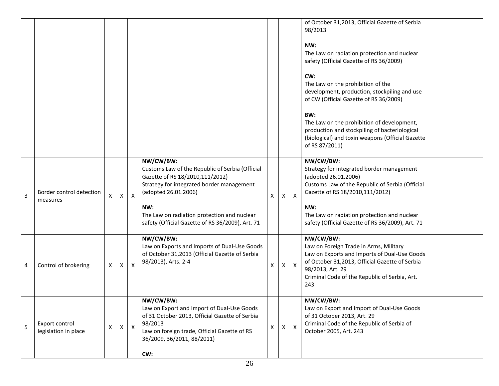|                |                                        |                    |   |              |                                                                                                                                                                                                                                                                                |   |              |              | of October 31,2013, Official Gazette of Serbia<br>98/2013<br>NW:<br>The Law on radiation protection and nuclear<br>safety (Official Gazette of RS 36/2009)<br>CW:<br>The Law on the prohibition of the<br>development, production, stockpiling and use<br>of CW (Official Gazette of RS 36/2009)<br>BW:<br>The Law on the prohibition of development,<br>production and stockpiling of bacteriological<br>(biological) and toxin weapons (Official Gazette<br>of RS 87/2011) |
|----------------|----------------------------------------|--------------------|---|--------------|--------------------------------------------------------------------------------------------------------------------------------------------------------------------------------------------------------------------------------------------------------------------------------|---|--------------|--------------|------------------------------------------------------------------------------------------------------------------------------------------------------------------------------------------------------------------------------------------------------------------------------------------------------------------------------------------------------------------------------------------------------------------------------------------------------------------------------|
| $\overline{3}$ | Border control detection<br>measures   | X                  | Χ | X            | NW/CW/BW:<br>Customs Law of the Republic of Serbia (Official<br>Gazette of RS 18/2010,111/2012)<br>Strategy for integrated border management<br>(adopted 26.01.2006)<br>NW:<br>The Law on radiation protection and nuclear<br>safety (Official Gazette of RS 36/2009), Art. 71 | X | $\mathsf{X}$ | $\mathsf{X}$ | NW/CW/BW:<br>Strategy for integrated border management<br>(adopted 26.01.2006)<br>Customs Law of the Republic of Serbia (Official<br>Gazette of RS 18/2010,111/2012)<br>NW:<br>The Law on radiation protection and nuclear<br>safety (Official Gazette of RS 36/2009), Art. 71                                                                                                                                                                                               |
| 4              | Control of brokering                   | X                  | X | $\mathsf{x}$ | NW/CW/BW:<br>Law on Exports and Imports of Dual-Use Goods<br>of October 31,2013 (Official Gazette of Serbia<br>98/2013), Arts. 2-4                                                                                                                                             | X | $X \mid$     | $\mathsf{X}$ | NW/CW/BW:<br>Law on Foreign Trade in Arms, Military<br>Law on Exports and Imports of Dual-Use Goods<br>of October 31,2013, Official Gazette of Serbia<br>98/2013, Art. 29<br>Criminal Code of the Republic of Serbia, Art.<br>243                                                                                                                                                                                                                                            |
| 5              | Export control<br>legislation in place | $\pmb{\mathsf{X}}$ | x | $\mathsf{X}$ | NW/CW/BW:<br>Law on Export and Import of Dual-Use Goods<br>of 31 October 2013, Official Gazette of Serbia<br>98/2013<br>Law on foreign trade, Official Gazette of RS<br>36/2009, 36/2011, 88/2011)<br>CW:                                                                      | X | X            | $\mathsf{X}$ | NW/CW/BW:<br>Law on Export and Import of Dual-Use Goods<br>of 31 October 2013, Art. 29<br>Criminal Code of the Republic of Serbia of<br>October 2005, Art. 243                                                                                                                                                                                                                                                                                                               |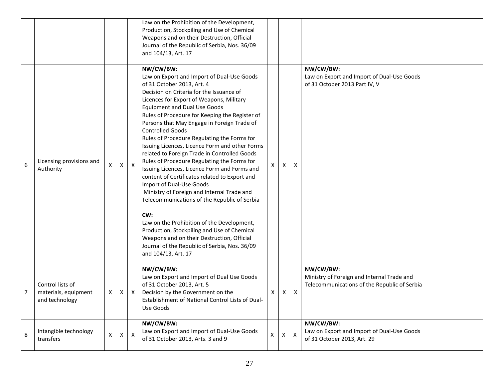|   |                                                            |              |          |              | Law on the Prohibition of the Development,<br>Production, Stockpiling and Use of Chemical<br>Weapons and on their Destruction, Official<br>Journal of the Republic of Serbia, Nos. 36/09<br>and 104/13, Art. 17                                                                                                                                                                                                                                                                                                                                                                                                                                                                                                                                                                                                                                                                                                                                                                                       |   |              |                           |                                                                                                         |  |
|---|------------------------------------------------------------|--------------|----------|--------------|-------------------------------------------------------------------------------------------------------------------------------------------------------------------------------------------------------------------------------------------------------------------------------------------------------------------------------------------------------------------------------------------------------------------------------------------------------------------------------------------------------------------------------------------------------------------------------------------------------------------------------------------------------------------------------------------------------------------------------------------------------------------------------------------------------------------------------------------------------------------------------------------------------------------------------------------------------------------------------------------------------|---|--------------|---------------------------|---------------------------------------------------------------------------------------------------------|--|
| 6 | Licensing provisions and<br>Authority                      | X            | X        | $\mathsf{X}$ | NW/CW/BW:<br>Law on Export and Import of Dual-Use Goods<br>of 31 October 2013, Art. 4<br>Decision on Criteria for the Issuance of<br>Licences for Export of Weapons, Military<br><b>Equipment and Dual Use Goods</b><br>Rules of Procedure for Keeping the Register of<br>Persons that May Engage in Foreign Trade of<br><b>Controlled Goods</b><br>Rules of Procedure Regulating the Forms for<br>Issuing Licences, Licence Form and other Forms<br>related to Foreign Trade in Controlled Goods<br>Rules of Procedure Regulating the Forms for<br>Issuing Licences, Licence Form and Forms and<br>content of Certificates related to Export and<br>Import of Dual-Use Goods<br>Ministry of Foreign and Internal Trade and<br>Telecommunications of the Republic of Serbia<br>CW:<br>Law on the Prohibition of the Development,<br>Production, Stockpiling and Use of Chemical<br>Weapons and on their Destruction, Official<br>Journal of the Republic of Serbia, Nos. 36/09<br>and 104/13, Art. 17 | X | Х            | X                         | NW/CW/BW:<br>Law on Export and Import of Dual-Use Goods<br>of 31 October 2013 Part IV, V                |  |
| 7 | Control lists of<br>materials, equipment<br>and technology | X            | $\times$ | $\mathsf{X}$ | NW/CW/BW:<br>Law on Export and Import of Dual Use Goods<br>of 31 October 2013, Art. 5<br>Decision by the Government on the<br>Establishment of National Control Lists of Dual-<br>Use Goods                                                                                                                                                                                                                                                                                                                                                                                                                                                                                                                                                                                                                                                                                                                                                                                                           | X | X            | X                         | NW/CW/BW:<br>Ministry of Foreign and Internal Trade and<br>Telecommunications of the Republic of Serbia |  |
| 8 | Intangible technology<br>transfers                         | $\mathsf{X}$ | $\times$ | $\mathsf{X}$ | NW/CW/BW:<br>Law on Export and Import of Dual-Use Goods<br>of 31 October 2013, Arts. 3 and 9                                                                                                                                                                                                                                                                                                                                                                                                                                                                                                                                                                                                                                                                                                                                                                                                                                                                                                          | X | $\mathsf{X}$ | $\boldsymbol{\mathsf{X}}$ | NW/CW/BW:<br>Law on Export and Import of Dual-Use Goods<br>of 31 October 2013, Art. 29                  |  |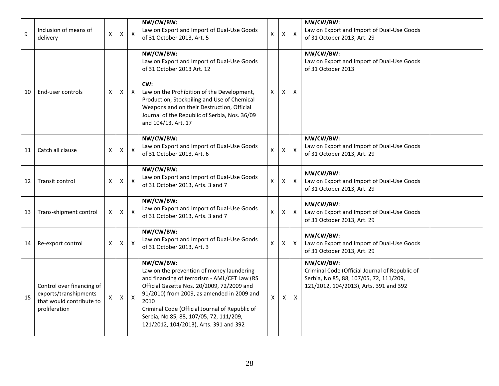| 9  | Inclusion of means of<br>delivery                                                               | X                  | $\mathsf{X}$       | $\boldsymbol{\mathsf{X}}$ | NW/CW/BW:<br>Law on Export and Import of Dual-Use Goods<br>of 31 October 2013, Art. 5                                                                                                                                                                                                                                                             | X | X            | $\boldsymbol{\mathsf{X}}$ | NW/CW/BW:<br>Law on Export and Import of Dual-Use Goods<br>of 31 October 2013, Art. 29                                                           |  |
|----|-------------------------------------------------------------------------------------------------|--------------------|--------------------|---------------------------|---------------------------------------------------------------------------------------------------------------------------------------------------------------------------------------------------------------------------------------------------------------------------------------------------------------------------------------------------|---|--------------|---------------------------|--------------------------------------------------------------------------------------------------------------------------------------------------|--|
| 10 | End-user controls                                                                               | X                  | $\mathsf{X}$       | $\mathsf{X}$              | NW/CW/BW:<br>Law on Export and Import of Dual-Use Goods<br>of 31 October 2013 Art. 12<br>CW:<br>Law on the Prohibition of the Development,<br>Production, Stockpiling and Use of Chemical<br>Weapons and on their Destruction, Official<br>Journal of the Republic of Serbia, Nos. 36/09<br>and 104/13, Art. 17                                   | X | X            | X                         | NW/CW/BW:<br>Law on Export and Import of Dual-Use Goods<br>of 31 October 2013                                                                    |  |
| 11 | Catch all clause                                                                                | Χ                  | $\mathsf{X}$       | $\boldsymbol{X}$          | NW/CW/BW:<br>Law on Export and Import of Dual-Use Goods<br>of 31 October 2013, Art. 6                                                                                                                                                                                                                                                             | Χ | X            | $\mathsf{x}$              | NW/CW/BW:<br>Law on Export and Import of Dual-Use Goods<br>of 31 October 2013, Art. 29                                                           |  |
| 12 | Transit control                                                                                 | X                  | $\pmb{\mathsf{X}}$ | Χ                         | NW/CW/BW:<br>Law on Export and Import of Dual-Use Goods<br>of 31 October 2013, Arts. 3 and 7                                                                                                                                                                                                                                                      | X | X            | $\mathsf{X}$              | NW/CW/BW:<br>Law on Export and Import of Dual-Use Goods<br>of 31 October 2013, Art. 29                                                           |  |
| 13 | Trans-shipment control                                                                          | $\pmb{\mathsf{X}}$ | $\pmb{\times}$     | X                         | NW/CW/BW:<br>Law on Export and Import of Dual-Use Goods<br>of 31 October 2013, Arts. 3 and 7                                                                                                                                                                                                                                                      | X | $\mathsf{X}$ | $\mathsf{X}$              | NW/CW/BW:<br>Law on Export and Import of Dual-Use Goods<br>of 31 October 2013, Art. 29                                                           |  |
| 14 | Re-export control                                                                               | Χ                  | $\mathsf{X}$       | $\boldsymbol{\mathsf{X}}$ | NW/CW/BW:<br>Law on Export and Import of Dual-Use Goods<br>of 31 October 2013, Art. 3                                                                                                                                                                                                                                                             | X | $\mathsf{X}$ | $\mathsf{X}$              | NW/CW/BW:<br>Law on Export and Import of Dual-Use Goods<br>of 31 October 2013, Art. 29                                                           |  |
| 15 | Control over financing of<br>exports/transhipments<br>that would contribute to<br>proliferation |                    | $\pmb{\mathsf{X}}$ | $\boldsymbol{\mathsf{X}}$ | NW/CW/BW:<br>Law on the prevention of money laundering<br>and financing of terrorism - AML/CFT Law (RS<br>Official Gazette Nos. 20/2009, 72/2009 and<br>91/2010) from 2009, as amended in 2009 and<br>2010<br>Criminal Code (Official Journal of Republic of<br>Serbia, No 85, 88, 107/05, 72, 111/209,<br>121/2012, 104/2013), Arts. 391 and 392 | X | X            | $\boldsymbol{\mathsf{X}}$ | NW/CW/BW:<br>Criminal Code (Official Journal of Republic of<br>Serbia, No 85, 88, 107/05, 72, 111/209,<br>121/2012, 104/2013), Arts. 391 and 392 |  |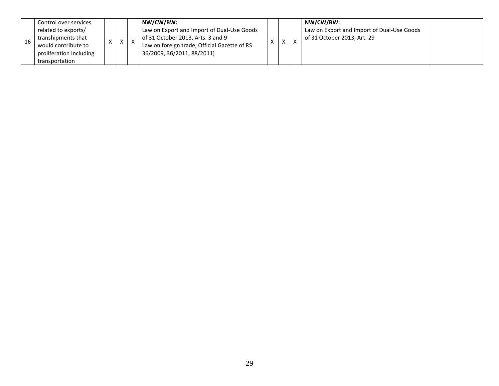|  | Control over services<br>related to exports/<br>transhipments that<br>would contribute to<br>proliferation including<br>transportation |  | $\mathcal{L}$ |  | NW/CW/BW:<br>Law on Export and Import of Dual-Use Goods<br>of 31 October 2013, Arts. 3 and 9<br>Law on foreign trade, Official Gazette of RS<br>36/2009, 36/2011, 88/2011) |  |  |  | NW/CW/BW:<br>Law on Export and Import of Dual-Use Goods<br>of 31 October 2013, Art. 29 |  |
|--|----------------------------------------------------------------------------------------------------------------------------------------|--|---------------|--|----------------------------------------------------------------------------------------------------------------------------------------------------------------------------|--|--|--|----------------------------------------------------------------------------------------|--|
|--|----------------------------------------------------------------------------------------------------------------------------------------|--|---------------|--|----------------------------------------------------------------------------------------------------------------------------------------------------------------------------|--|--|--|----------------------------------------------------------------------------------------|--|